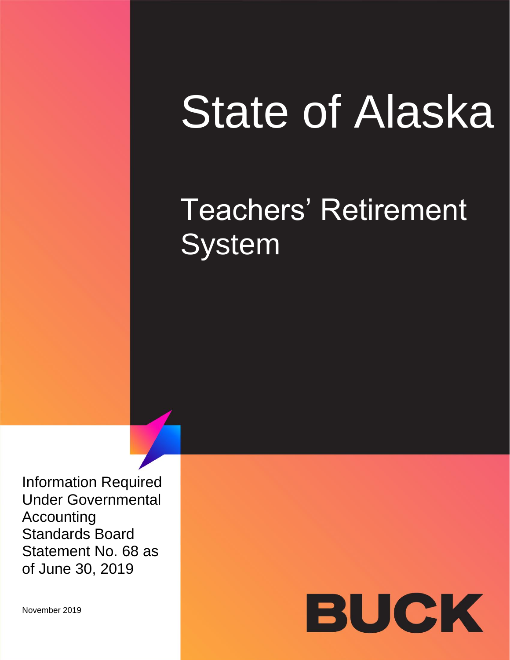# State of Alaska

# Teachers' Retirement **System**

Information Required Under Governmental Accounting Standards Board Statement No. 68 as of June 30, 2019

November 2019

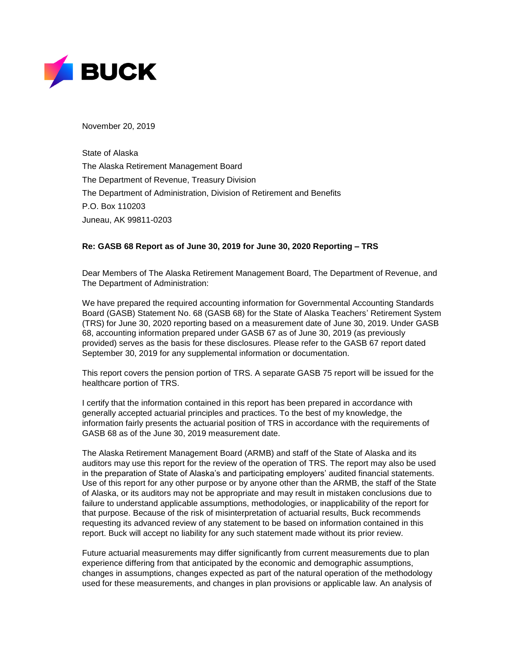

November 20, 2019

State of Alaska The Alaska Retirement Management Board The Department of Revenue, Treasury Division The Department of Administration, Division of Retirement and Benefits P.O. Box 110203 Juneau, AK 99811-0203

#### **Re: GASB 68 Report as of June 30, 2019 for June 30, 2020 Reporting – TRS**

Dear Members of The Alaska Retirement Management Board, The Department of Revenue, and The Department of Administration:

We have prepared the required accounting information for Governmental Accounting Standards Board (GASB) Statement No. 68 (GASB 68) for the State of Alaska Teachers' Retirement System (TRS) for June 30, 2020 reporting based on a measurement date of June 30, 2019. Under GASB 68, accounting information prepared under GASB 67 as of June 30, 2019 (as previously provided) serves as the basis for these disclosures. Please refer to the GASB 67 report dated September 30, 2019 for any supplemental information or documentation.

This report covers the pension portion of TRS. A separate GASB 75 report will be issued for the healthcare portion of TRS.

I certify that the information contained in this report has been prepared in accordance with generally accepted actuarial principles and practices. To the best of my knowledge, the information fairly presents the actuarial position of TRS in accordance with the requirements of GASB 68 as of the June 30, 2019 measurement date.

The Alaska Retirement Management Board (ARMB) and staff of the State of Alaska and its auditors may use this report for the review of the operation of TRS. The report may also be used in the preparation of State of Alaska's and participating employers' audited financial statements. Use of this report for any other purpose or by anyone other than the ARMB, the staff of the State of Alaska, or its auditors may not be appropriate and may result in mistaken conclusions due to failure to understand applicable assumptions, methodologies, or inapplicability of the report for that purpose. Because of the risk of misinterpretation of actuarial results, Buck recommends requesting its advanced review of any statement to be based on information contained in this report. Buck will accept no liability for any such statement made without its prior review.

Future actuarial measurements may differ significantly from current measurements due to plan experience differing from that anticipated by the economic and demographic assumptions, changes in assumptions, changes expected as part of the natural operation of the methodology used for these measurements, and changes in plan provisions or applicable law. An analysis of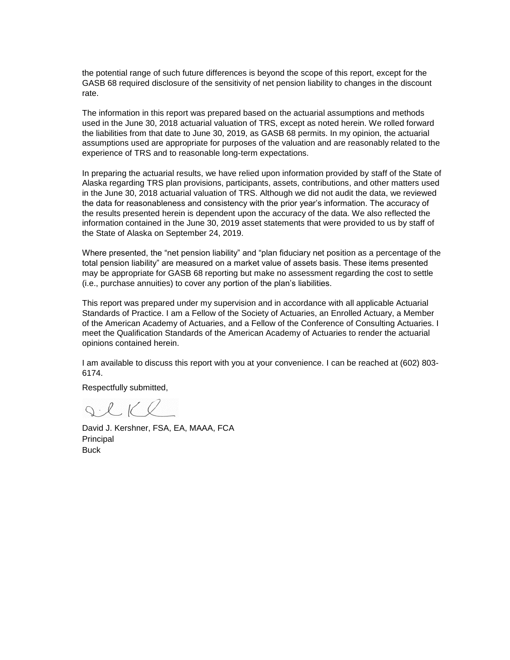the potential range of such future differences is beyond the scope of this report, except for the GASB 68 required disclosure of the sensitivity of net pension liability to changes in the discount rate.

The information in this report was prepared based on the actuarial assumptions and methods used in the June 30, 2018 actuarial valuation of TRS, except as noted herein. We rolled forward the liabilities from that date to June 30, 2019, as GASB 68 permits. In my opinion, the actuarial assumptions used are appropriate for purposes of the valuation and are reasonably related to the experience of TRS and to reasonable long-term expectations.

In preparing the actuarial results, we have relied upon information provided by staff of the State of Alaska regarding TRS plan provisions, participants, assets, contributions, and other matters used in the June 30, 2018 actuarial valuation of TRS. Although we did not audit the data, we reviewed the data for reasonableness and consistency with the prior year's information. The accuracy of the results presented herein is dependent upon the accuracy of the data. We also reflected the information contained in the June 30, 2019 asset statements that were provided to us by staff of the State of Alaska on September 24, 2019.

Where presented, the "net pension liability" and "plan fiduciary net position as a percentage of the total pension liability" are measured on a market value of assets basis. These items presented may be appropriate for GASB 68 reporting but make no assessment regarding the cost to settle (i.e., purchase annuities) to cover any portion of the plan's liabilities.

This report was prepared under my supervision and in accordance with all applicable Actuarial Standards of Practice. I am a Fellow of the Society of Actuaries, an Enrolled Actuary, a Member of the American Academy of Actuaries, and a Fellow of the Conference of Consulting Actuaries. I meet the Qualification Standards of the American Academy of Actuaries to render the actuarial opinions contained herein.

I am available to discuss this report with you at your convenience. I can be reached at (602) 803- 6174.

Respectfully submitted,

Ilke

David J. Kershner, FSA, EA, MAAA, FCA Principal **Buck**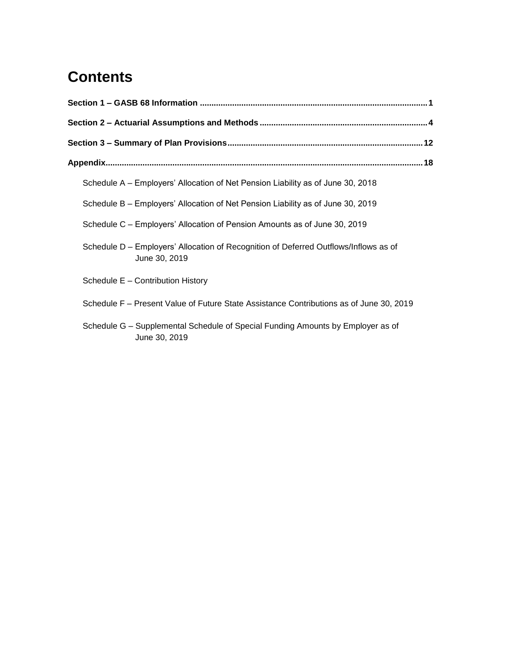## **Contents**

| Schedule A – Employers' Allocation of Net Pension Liability as of June 30, 2018                       |  |
|-------------------------------------------------------------------------------------------------------|--|
| Schedule B - Employers' Allocation of Net Pension Liability as of June 30, 2019                       |  |
| Schedule C – Employers' Allocation of Pension Amounts as of June 30, 2019                             |  |
| Schedule D - Employers' Allocation of Recognition of Deferred Outflows/Inflows as of<br>June 30, 2019 |  |
| Schedule E - Contribution History                                                                     |  |
| Schedule F - Present Value of Future State Assistance Contributions as of June 30, 2019               |  |
| Schedule G - Supplemental Schedule of Special Funding Amounts by Employer as of<br>June 30, 2019      |  |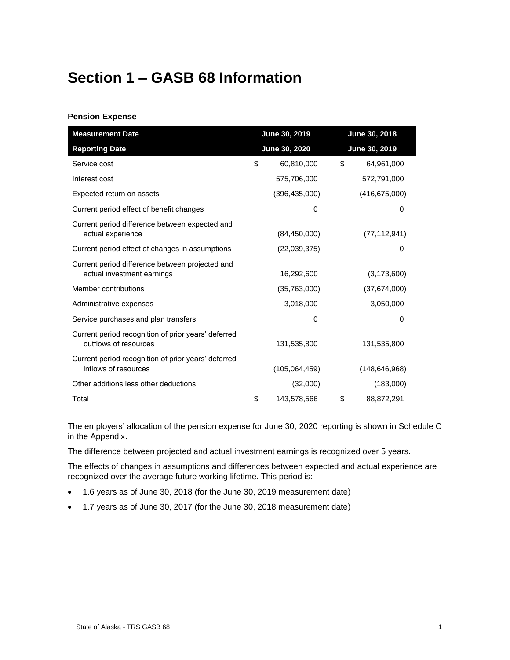## <span id="page-4-0"></span>**Section 1 – GASB 68 Information**

#### **Pension Expense**

| <b>Measurement Date</b>                                                       | June 30, 2019     | June 30, 2018    |
|-------------------------------------------------------------------------------|-------------------|------------------|
| <b>Reporting Date</b>                                                         | June 30, 2020     | June 30, 2019    |
| Service cost                                                                  | \$<br>60,810,000  | \$<br>64,961,000 |
| Interest cost                                                                 | 575,706,000       | 572,791,000      |
| Expected return on assets                                                     | (396, 435, 000)   | (416, 675, 000)  |
| Current period effect of benefit changes                                      |                   | 0<br>0           |
| Current period difference between expected and<br>actual experience           | (84, 450, 000)    | (77, 112, 941)   |
| Current period effect of changes in assumptions                               | (22,039,375)      | $\Omega$         |
| Current period difference between projected and<br>actual investment earnings | 16,292,600        | (3, 173, 600)    |
| Member contributions                                                          | (35,763,000)      | (37,674,000)     |
| Administrative expenses                                                       | 3,018,000         | 3,050,000        |
| Service purchases and plan transfers                                          |                   | 0<br>0           |
| Current period recognition of prior years' deferred<br>outflows of resources  | 131,535,800       | 131,535,800      |
| Current period recognition of prior years' deferred<br>inflows of resources   | (105,064,459)     | (148, 646, 968)  |
| Other additions less other deductions                                         | (32,000)          | <u>(183,000)</u> |
| Total                                                                         | \$<br>143,578,566 | 88,872,291       |

The employers' allocation of the pension expense for June 30, 2020 reporting is shown in Schedule C in the Appendix.

The difference between projected and actual investment earnings is recognized over 5 years.

The effects of changes in assumptions and differences between expected and actual experience are recognized over the average future working lifetime. This period is:

- 1.6 years as of June 30, 2018 (for the June 30, 2019 measurement date)
- 1.7 years as of June 30, 2017 (for the June 30, 2018 measurement date)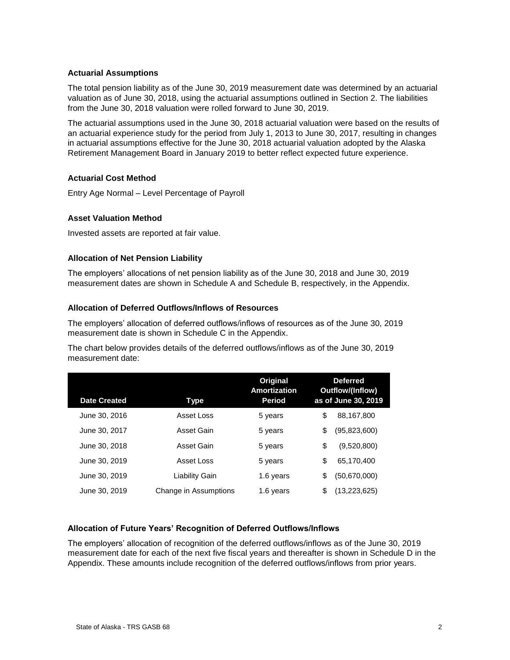#### **Actuarial Assumptions**

The total pension liability as of the June 30, 2019 measurement date was determined by an actuarial valuation as of June 30, 2018, using the actuarial assumptions outlined in Section 2. The liabilities from the June 30, 2018 valuation were rolled forward to June 30, 2019.

The actuarial assumptions used in the June 30, 2018 actuarial valuation were based on the results of an actuarial experience study for the period from July 1, 2013 to June 30, 2017, resulting in changes in actuarial assumptions effective for the June 30, 2018 actuarial valuation adopted by the Alaska Retirement Management Board in January 2019 to better reflect expected future experience.

#### **Actuarial Cost Method**

Entry Age Normal – Level Percentage of Payroll

#### **Asset Valuation Method**

Invested assets are reported at fair value.

#### **Allocation of Net Pension Liability**

The employers' allocations of net pension liability as of the June 30, 2018 and June 30, 2019 measurement dates are shown in Schedule A and Schedule B, respectively, in the Appendix.

#### **Allocation of Deferred Outflows/Inflows of Resources**

The employers' allocation of deferred outflows/inflows of resources as of the June 30, 2019 measurement date is shown in Schedule C in the Appendix.

The chart below provides details of the deferred outflows/inflows as of the June 30, 2019 measurement date:

| <b>Date Created</b> | Type                  | Original<br><b>Amortization</b><br><b>Period</b> | <b>Deferred</b><br>Outflow/(Inflow)<br>as of June 30, 2019 |
|---------------------|-----------------------|--------------------------------------------------|------------------------------------------------------------|
| June 30, 2016       | Asset Loss            | 5 years                                          | \$<br>88,167,800                                           |
| June 30, 2017       | Asset Gain            | 5 years                                          | \$<br>(95,823,600)                                         |
| June 30, 2018       | Asset Gain            | 5 years                                          | \$<br>(9,520,800)                                          |
| June 30, 2019       | Asset Loss            | 5 years                                          | \$<br>65,170,400                                           |
| June 30, 2019       | Liability Gain        | 1.6 years                                        | \$<br>(50,670,000)                                         |
| June 30, 2019       | Change in Assumptions | 1.6 years                                        | \$<br>(13,223,625)                                         |

#### **Allocation of Future Years' Recognition of Deferred Outflows/Inflows**

The employers' allocation of recognition of the deferred outflows/inflows as of the June 30, 2019 measurement date for each of the next five fiscal years and thereafter is shown in Schedule D in the Appendix. These amounts include recognition of the deferred outflows/inflows from prior years.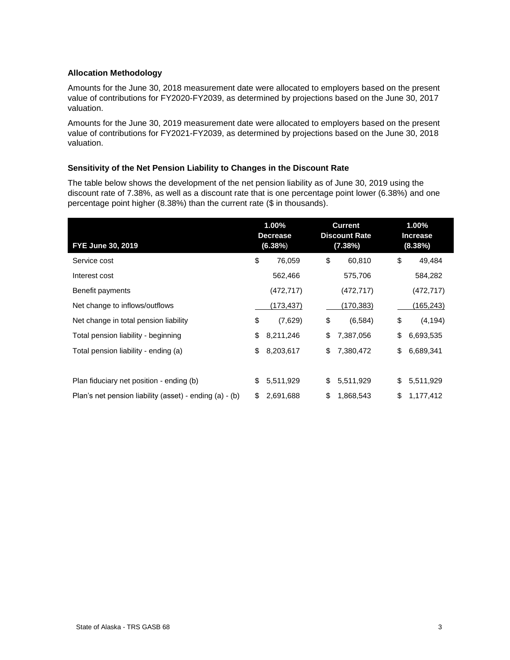#### **Allocation Methodology**

Amounts for the June 30, 2018 measurement date were allocated to employers based on the present value of contributions for FY2020-FY2039, as determined by projections based on the June 30, 2017 valuation.

Amounts for the June 30, 2019 measurement date were allocated to employers based on the present value of contributions for FY2021-FY2039, as determined by projections based on the June 30, 2018 valuation.

#### **Sensitivity of the Net Pension Liability to Changes in the Discount Rate**

The table below shows the development of the net pension liability as of June 30, 2019 using the discount rate of 7.38%, as well as a discount rate that is one percentage point lower (6.38%) and one percentage point higher (8.38%) than the current rate (\$ in thousands).

| FYE June 30, 2019                                       | 1.00%<br><b>Decrease</b><br>(6.38%) |           | <b>Current</b><br><b>Discount Rate</b><br>(7.38%) | 1.00%<br><b>Increase</b><br>(8.38%) |
|---------------------------------------------------------|-------------------------------------|-----------|---------------------------------------------------|-------------------------------------|
| Service cost                                            | \$                                  | 76,059    | \$<br>60,810                                      | \$<br>49,484                        |
| Interest cost                                           |                                     | 562,466   | 575,706                                           | 584,282                             |
| Benefit payments                                        |                                     | (472,717) | (472, 717)                                        | (472, 717)                          |
| Net change to inflows/outflows                          |                                     | (173,437) | (170,383)                                         | (165, 243)                          |
| Net change in total pension liability                   | \$                                  | (7,629)   | \$<br>(6, 584)                                    | \$<br>(4, 194)                      |
| Total pension liability - beginning                     | \$                                  | 8,211,246 | \$<br>7,387,056                                   | \$<br>6,693,535                     |
| Total pension liability - ending (a)                    | \$                                  | 8,203,617 | \$<br>7,380,472                                   | \$<br>6,689,341                     |
|                                                         |                                     |           |                                                   |                                     |
| Plan fiduciary net position - ending (b)                | \$                                  | 5,511,929 | \$<br>5,511,929                                   | \$<br>5,511,929                     |
| Plan's net pension liability (asset) - ending (a) - (b) | \$                                  | 2,691,688 | \$<br>1,868,543                                   | \$<br>1,177,412                     |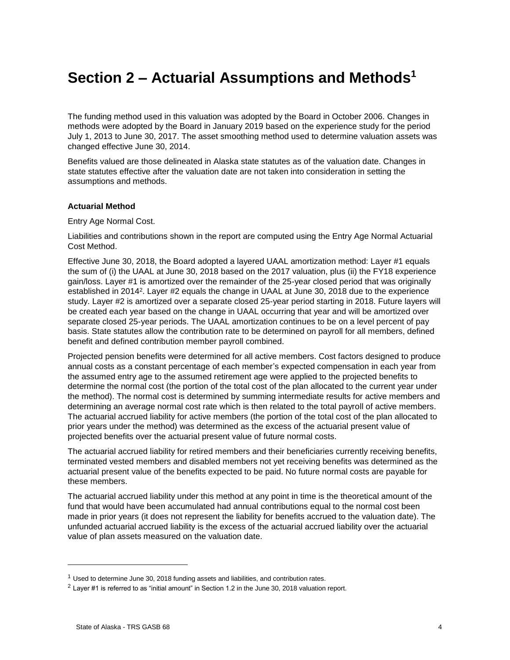## <span id="page-7-0"></span>**Section 2 – Actuarial Assumptions and Methods<sup>1</sup>**

The funding method used in this valuation was adopted by the Board in October 2006. Changes in methods were adopted by the Board in January 2019 based on the experience study for the period July 1, 2013 to June 30, 2017. The asset smoothing method used to determine valuation assets was changed effective June 30, 2014.

Benefits valued are those delineated in Alaska state statutes as of the valuation date. Changes in state statutes effective after the valuation date are not taken into consideration in setting the assumptions and methods.

#### **Actuarial Method**

Entry Age Normal Cost.

Liabilities and contributions shown in the report are computed using the Entry Age Normal Actuarial Cost Method.

Effective June 30, 2018, the Board adopted a layered UAAL amortization method: Layer #1 equals the sum of (i) the UAAL at June 30, 2018 based on the 2017 valuation, plus (ii) the FY18 experience gain/loss. Layer #1 is amortized over the remainder of the 25-year closed period that was originally established in 2014<sup>2</sup>. Layer #2 equals the change in UAAL at June 30, 2018 due to the experience study. Layer #2 is amortized over a separate closed 25-year period starting in 2018. Future layers will be created each year based on the change in UAAL occurring that year and will be amortized over separate closed 25-year periods. The UAAL amortization continues to be on a level percent of pay basis. State statutes allow the contribution rate to be determined on payroll for all members, defined benefit and defined contribution member payroll combined.

Projected pension benefits were determined for all active members. Cost factors designed to produce annual costs as a constant percentage of each member's expected compensation in each year from the assumed entry age to the assumed retirement age were applied to the projected benefits to determine the normal cost (the portion of the total cost of the plan allocated to the current year under the method). The normal cost is determined by summing intermediate results for active members and determining an average normal cost rate which is then related to the total payroll of active members. The actuarial accrued liability for active members (the portion of the total cost of the plan allocated to prior years under the method) was determined as the excess of the actuarial present value of projected benefits over the actuarial present value of future normal costs.

The actuarial accrued liability for retired members and their beneficiaries currently receiving benefits, terminated vested members and disabled members not yet receiving benefits was determined as the actuarial present value of the benefits expected to be paid. No future normal costs are payable for these members.

The actuarial accrued liability under this method at any point in time is the theoretical amount of the fund that would have been accumulated had annual contributions equal to the normal cost been made in prior years (it does not represent the liability for benefits accrued to the valuation date). The unfunded actuarial accrued liability is the excess of the actuarial accrued liability over the actuarial value of plan assets measured on the valuation date.

l

<sup>&</sup>lt;sup>1</sup> Used to determine June 30, 2018 funding assets and liabilities, and contribution rates.

<sup>2</sup> Layer #1 is referred to as "initial amount" in Section 1.2 in the June 30, 2018 valuation report.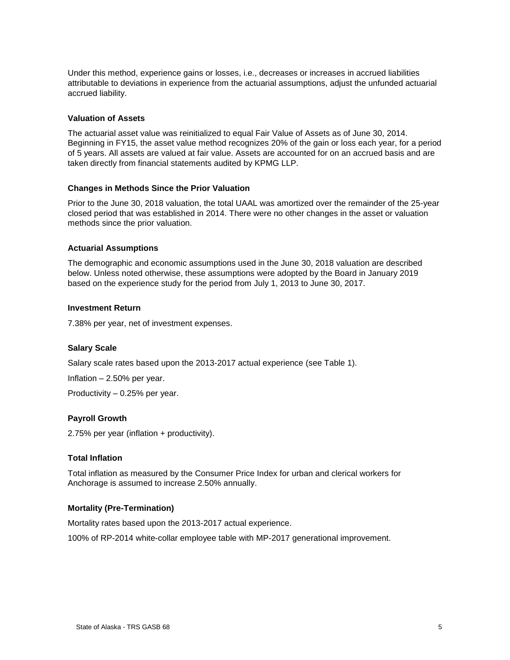Under this method, experience gains or losses, i.e., decreases or increases in accrued liabilities attributable to deviations in experience from the actuarial assumptions, adjust the unfunded actuarial accrued liability.

#### **Valuation of Assets**

The actuarial asset value was reinitialized to equal Fair Value of Assets as of June 30, 2014. Beginning in FY15, the asset value method recognizes 20% of the gain or loss each year, for a period of 5 years. All assets are valued at fair value. Assets are accounted for on an accrued basis and are taken directly from financial statements audited by KPMG LLP.

#### **Changes in Methods Since the Prior Valuation**

Prior to the June 30, 2018 valuation, the total UAAL was amortized over the remainder of the 25-year closed period that was established in 2014. There were no other changes in the asset or valuation methods since the prior valuation.

#### **Actuarial Assumptions**

The demographic and economic assumptions used in the June 30, 2018 valuation are described below. Unless noted otherwise, these assumptions were adopted by the Board in January 2019 based on the experience study for the period from July 1, 2013 to June 30, 2017.

#### **Investment Return**

7.38% per year, net of investment expenses.

#### **Salary Scale**

Salary scale rates based upon the 2013-2017 actual experience (see Table 1).

Inflation – 2.50% per year.

Productivity – 0.25% per year.

#### **Payroll Growth**

2.75% per year (inflation + productivity).

#### **Total Inflation**

Total inflation as measured by the Consumer Price Index for urban and clerical workers for Anchorage is assumed to increase 2.50% annually.

#### **Mortality (Pre-Termination)**

Mortality rates based upon the 2013-2017 actual experience.

100% of RP-2014 white-collar employee table with MP-2017 generational improvement.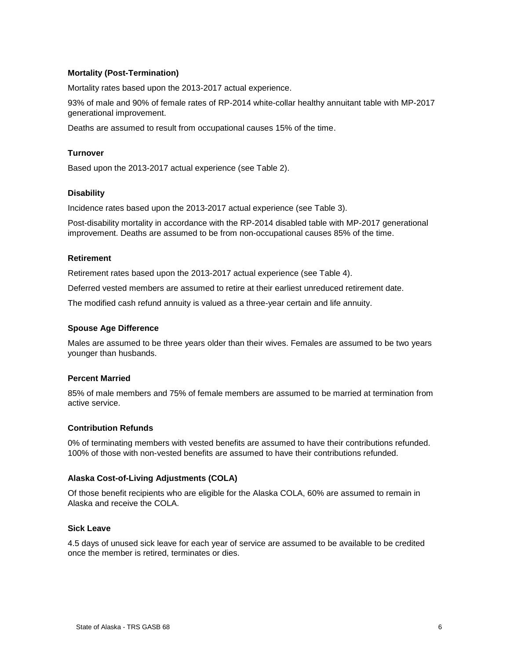#### **Mortality (Post-Termination)**

Mortality rates based upon the 2013-2017 actual experience.

93% of male and 90% of female rates of RP-2014 white-collar healthy annuitant table with MP-2017 generational improvement.

Deaths are assumed to result from occupational causes 15% of the time.

#### **Turnover**

Based upon the 2013-2017 actual experience (see Table 2).

#### **Disability**

Incidence rates based upon the 2013-2017 actual experience (see Table 3).

Post-disability mortality in accordance with the RP-2014 disabled table with MP-2017 generational improvement. Deaths are assumed to be from non-occupational causes 85% of the time.

#### **Retirement**

Retirement rates based upon the 2013-2017 actual experience (see Table 4).

Deferred vested members are assumed to retire at their earliest unreduced retirement date.

The modified cash refund annuity is valued as a three-year certain and life annuity.

#### **Spouse Age Difference**

Males are assumed to be three years older than their wives. Females are assumed to be two years younger than husbands.

#### **Percent Married**

85% of male members and 75% of female members are assumed to be married at termination from active service.

#### **Contribution Refunds**

0% of terminating members with vested benefits are assumed to have their contributions refunded. 100% of those with non-vested benefits are assumed to have their contributions refunded.

#### **Alaska Cost-of-Living Adjustments (COLA)**

Of those benefit recipients who are eligible for the Alaska COLA, 60% are assumed to remain in Alaska and receive the COLA.

#### **Sick Leave**

4.5 days of unused sick leave for each year of service are assumed to be available to be credited once the member is retired, terminates or dies.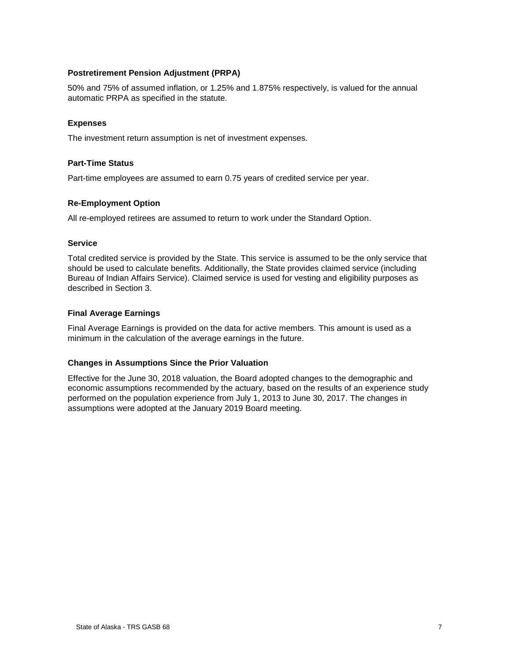#### **Postretirement Pension Adjustment (PRPA)**

50% and 75% of assumed inflation, or 1.25% and 1.875% respectively, is valued for the annual automatic PRPA as specified in the statute.

#### **Expenses**

The investment return assumption is net of investment expenses.

#### **Part-Time Status**

Part-time employees are assumed to earn 0.75 years of credited service per year.

#### **Re-Employment Option**

All re-employed retirees are assumed to return to work under the Standard Option.

#### **Service**

Total credited service is provided by the State. This service is assumed to be the only service that should be used to calculate benefits. Additionally, the State provides claimed service (including Bureau of Indian Affairs Service). Claimed service is used for vesting and eligibility purposes as described in Section 3.

#### **Final Average Earnings**

Final Average Earnings is provided on the data for active members. This amount is used as a minimum in the calculation of the average earnings in the future.

#### **Changes in Assumptions Since the Prior Valuation**

Effective for the June 30, 2018 valuation, the Board adopted changes to the demographic and economic assumptions recommended by the actuary, based on the results of an experience study performed on the population experience from July 1, 2013 to June 30, 2017. The changes in assumptions were adopted at the January 2019 Board meeting.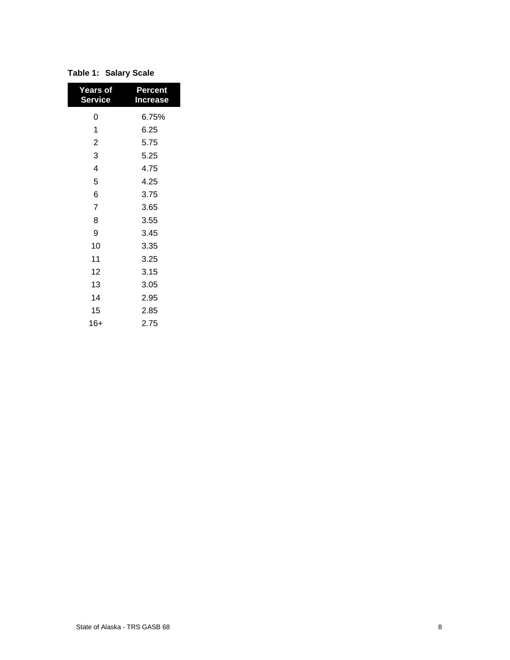| <b>Years of</b><br><b>Service</b> | Percent<br><b>Increase</b> |
|-----------------------------------|----------------------------|
| 0                                 | 6.75%                      |
| 1                                 | 6.25                       |
| $\overline{2}$                    | 5.75                       |
| 3                                 | 5.25                       |
| 4                                 | 4.75                       |
| 5                                 | 4.25                       |
| 6                                 | 3.75                       |
| $\overline{7}$                    | 3.65                       |
| 8                                 | 3.55                       |
| 9                                 | 3.45                       |
| 10                                | 3.35                       |
| 11                                | 3.25                       |
| 12                                | 3.15                       |
| 13                                | 3.05                       |
| 14                                | 2.95                       |
| 15                                | 2.85                       |
| 16+                               | 2.75                       |

#### **Table 1: Salary Scale**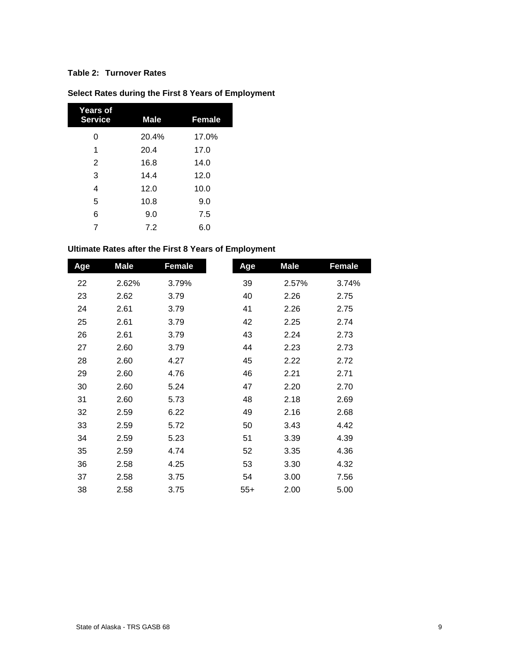#### **Table 2: Turnover Rates**

| <b>Years of</b><br><b>Service</b> | <b>Male</b> | <b>Female</b> |
|-----------------------------------|-------------|---------------|
| 0                                 | 20.4%       | 17.0%         |
| 1                                 | 20.4        | 17.0          |
| 2                                 | 16.8        | 14.0          |
| 3                                 | 14.4        | 12.0          |
| 4                                 | 12.0        | 10.0          |
| 5                                 | 10.8        | 9.0           |
| 6                                 | 9.0         | 7.5           |
| 7                                 | 7.2         | 6.0           |

## **Select Rates during the First 8 Years of Employment**

## **Ultimate Rates after the First 8 Years of Employment**

| Age | <b>Male</b> | <b>Female</b> | Age   | <b>Male</b> | <b>Female</b> |
|-----|-------------|---------------|-------|-------------|---------------|
| 22  | 2.62%       | 3.79%         | 39    | 2.57%       | 3.74%         |
| 23  | 2.62        | 3.79          | 40    | 2.26        | 2.75          |
| 24  | 2.61        | 3.79          | 41    | 2.26        | 2.75          |
| 25  | 2.61        | 3.79          | 42    | 2.25        | 2.74          |
| 26  | 2.61        | 3.79          | 43    | 2.24        | 2.73          |
| 27  | 2.60        | 3.79          | 44    | 2.23        | 2.73          |
| 28  | 2.60        | 4.27          | 45    | 2.22        | 2.72          |
| 29  | 2.60        | 4.76          | 46    | 2.21        | 2.71          |
| 30  | 2.60        | 5.24          | 47    | 2.20        | 2.70          |
| 31  | 2.60        | 5.73          | 48    | 2.18        | 2.69          |
| 32  | 2.59        | 6.22          | 49    | 2.16        | 2.68          |
| 33  | 2.59        | 5.72          | 50    | 3.43        | 4.42          |
| 34  | 2.59        | 5.23          | 51    | 3.39        | 4.39          |
| 35  | 2.59        | 4.74          | 52    | 3.35        | 4.36          |
| 36  | 2.58        | 4.25          | 53    | 3.30        | 4.32          |
| 37  | 2.58        | 3.75          | 54    | 3.00        | 7.56          |
| 38  | 2.58        | 3.75          | $55+$ | 2.00        | 5.00          |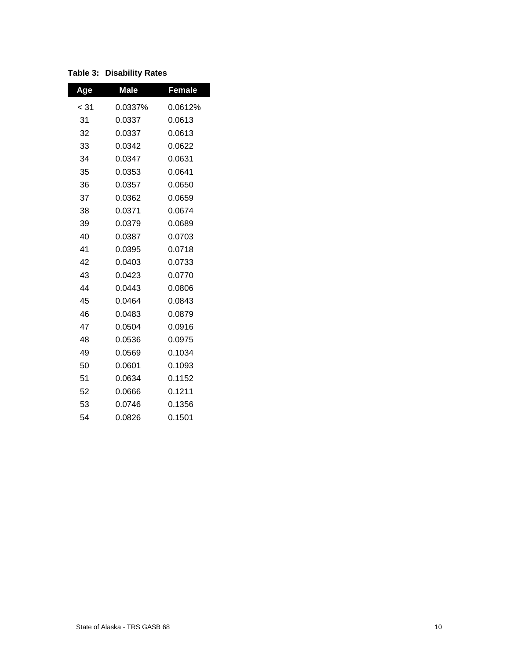| Age  | <b>Male</b> | <b>Female</b> |
|------|-------------|---------------|
| < 31 | 0.0337%     | 0.0612%       |
| 31   | 0.0337      | 0.0613        |
| 32   | 0.0337      | 0.0613        |
| 33   | 0.0342      | 0.0622        |
| 34   | 0.0347      | 0.0631        |
| 35   | 0.0353      | 0.0641        |
| 36   | 0.0357      | 0.0650        |
| 37   | 0.0362      | 0.0659        |
| 38   | 0.0371      | 0.0674        |
| 39   | 0.0379      | 0.0689        |
| 40   | 0.0387      | 0.0703        |
| 41   | 0.0395      | 0.0718        |
| 42   | 0.0403      | 0.0733        |
| 43   | 0.0423      | 0.0770        |
| 44   | 0.0443      | 0.0806        |
| 45   | 0.0464      | 0.0843        |
| 46   | 0.0483      | 0.0879        |
| 47   | 0.0504      | 0.0916        |
| 48   | 0.0536      | 0.0975        |
| 49   | 0.0569      | 0.1034        |
| 50   | 0.0601      | 0.1093        |
| 51   | 0.0634      | 0.1152        |
| 52   | 0.0666      | 0.1211        |
| 53   | 0.0746      | 0.1356        |
| 54   | 0.0826      | 0.1501        |

#### **Table 3: Disability Rates**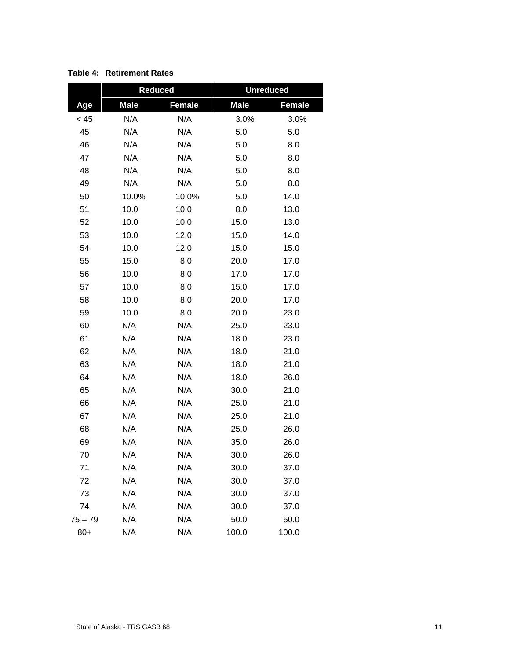|           | <b>Reduced</b> |               | <b>Unreduced</b> |               |  |  |  |
|-----------|----------------|---------------|------------------|---------------|--|--|--|
| Age       | <b>Male</b>    | <b>Female</b> | <b>Male</b>      | <b>Female</b> |  |  |  |
| < 45      | N/A            | N/A           | 3.0%             | 3.0%          |  |  |  |
| 45        | N/A            | N/A           | 5.0              | 5.0           |  |  |  |
| 46        | N/A            | N/A           | 5.0              | 8.0           |  |  |  |
| 47        | N/A            | N/A           | 5.0              | 8.0           |  |  |  |
| 48        | N/A            | N/A           | 5.0              | 8.0           |  |  |  |
| 49        | N/A            | N/A           | $5.0\,$          | 8.0           |  |  |  |
| 50        | 10.0%          | 10.0%         | 5.0              | 14.0          |  |  |  |
| 51        | 10.0           | 10.0          | 8.0              | 13.0          |  |  |  |
| 52        | 10.0           | 10.0          | 15.0             | 13.0          |  |  |  |
| 53        | 10.0           | 12.0          | 15.0             | 14.0          |  |  |  |
| 54        | 10.0           | 12.0          | 15.0             | 15.0          |  |  |  |
| 55        | 15.0           | 8.0           | 20.0             | 17.0          |  |  |  |
| 56        | 10.0           | 8.0           | 17.0             | 17.0          |  |  |  |
| 57        | 10.0           | 8.0           | 15.0             | 17.0          |  |  |  |
| 58        | 10.0           | 8.0           | 20.0             | 17.0          |  |  |  |
| 59        | 10.0           | 8.0           | 20.0             | 23.0          |  |  |  |
| 60        | N/A            | N/A           | 25.0             | 23.0          |  |  |  |
| 61        | N/A            | N/A           | 18.0             | 23.0          |  |  |  |
| 62        | N/A            | N/A           | 18.0             | 21.0          |  |  |  |
| 63        | N/A            | N/A           | 18.0             | 21.0          |  |  |  |
| 64        | N/A            | N/A           | 18.0             | 26.0          |  |  |  |
| 65        | N/A            | N/A           | 30.0             | 21.0          |  |  |  |
| 66        | N/A            | N/A           | 25.0             | 21.0          |  |  |  |
| 67        | N/A            | N/A           | 25.0             | 21.0          |  |  |  |
| 68        | N/A            | N/A           | 25.0             | 26.0          |  |  |  |
| 69        | N/A            | N/A           | 35.0             | 26.0          |  |  |  |
| 70        | N/A            | N/A           | 30.0             | 26.0          |  |  |  |
| 71        | N/A            | N/A           | 30.0             | 37.0          |  |  |  |
| 72        | N/A            | N/A           | 30.0             | 37.0          |  |  |  |
| 73        | N/A            | N/A           | 30.0             | 37.0          |  |  |  |
| 74        | N/A            | N/A           | 30.0             | 37.0          |  |  |  |
| $75 - 79$ | N/A            | N/A           | 50.0             | 50.0          |  |  |  |
| $80+$     | N/A            | N/A           | 100.0            | 100.0         |  |  |  |

#### **Table 4: Retirement Rates**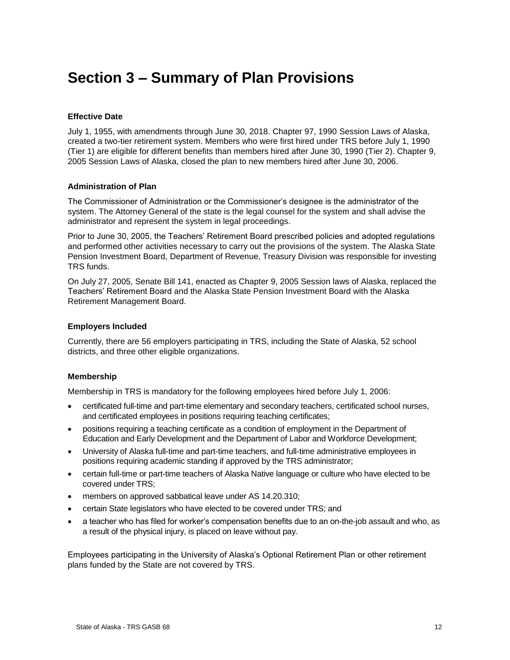## <span id="page-15-0"></span>**Section 3 – Summary of Plan Provisions**

#### **Effective Date**

July 1, 1955, with amendments through June 30, 2018. Chapter 97, 1990 Session Laws of Alaska, created a two-tier retirement system. Members who were first hired under TRS before July 1, 1990 (Tier 1) are eligible for different benefits than members hired after June 30, 1990 (Tier 2). Chapter 9, 2005 Session Laws of Alaska, closed the plan to new members hired after June 30, 2006.

#### **Administration of Plan**

The Commissioner of Administration or the Commissioner's designee is the administrator of the system. The Attorney General of the state is the legal counsel for the system and shall advise the administrator and represent the system in legal proceedings.

Prior to June 30, 2005, the Teachers' Retirement Board prescribed policies and adopted regulations and performed other activities necessary to carry out the provisions of the system. The Alaska State Pension Investment Board, Department of Revenue, Treasury Division was responsible for investing TRS funds.

On July 27, 2005, Senate Bill 141, enacted as Chapter 9, 2005 Session laws of Alaska, replaced the Teachers' Retirement Board and the Alaska State Pension Investment Board with the Alaska Retirement Management Board.

#### **Employers Included**

Currently, there are 56 employers participating in TRS, including the State of Alaska, 52 school districts, and three other eligible organizations.

#### **Membership**

Membership in TRS is mandatory for the following employees hired before July 1, 2006:

- certificated full-time and part-time elementary and secondary teachers, certificated school nurses, and certificated employees in positions requiring teaching certificates;
- positions requiring a teaching certificate as a condition of employment in the Department of Education and Early Development and the Department of Labor and Workforce Development;
- University of Alaska full-time and part-time teachers, and full-time administrative employees in positions requiring academic standing if approved by the TRS administrator;
- certain full-time or part-time teachers of Alaska Native language or culture who have elected to be covered under TRS;
- members on approved sabbatical leave under AS 14.20.310;
- certain State legislators who have elected to be covered under TRS; and
- a teacher who has filed for worker's compensation benefits due to an on-the-job assault and who, as a result of the physical injury, is placed on leave without pay.

Employees participating in the University of Alaska's Optional Retirement Plan or other retirement plans funded by the State are not covered by TRS.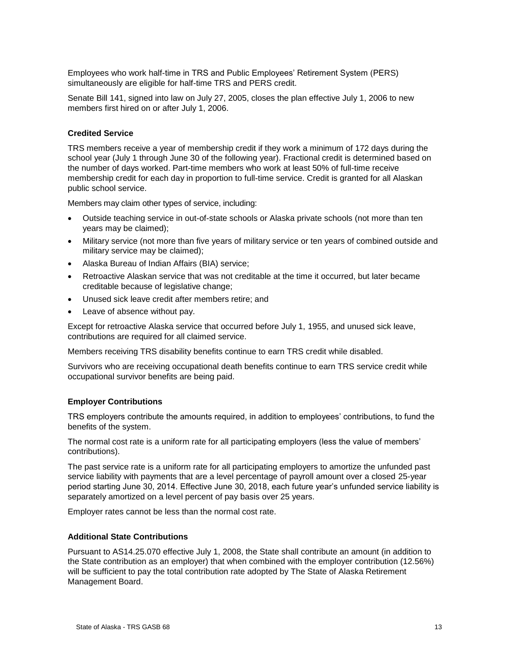Employees who work half-time in TRS and Public Employees' Retirement System (PERS) simultaneously are eligible for half-time TRS and PERS credit.

Senate Bill 141, signed into law on July 27, 2005, closes the plan effective July 1, 2006 to new members first hired on or after July 1, 2006.

#### **Credited Service**

TRS members receive a year of membership credit if they work a minimum of 172 days during the school year (July 1 through June 30 of the following year). Fractional credit is determined based on the number of days worked. Part-time members who work at least 50% of full-time receive membership credit for each day in proportion to full-time service. Credit is granted for all Alaskan public school service.

Members may claim other types of service, including:

- Outside teaching service in out-of-state schools or Alaska private schools (not more than ten years may be claimed);
- Military service (not more than five years of military service or ten years of combined outside and military service may be claimed);
- Alaska Bureau of Indian Affairs (BIA) service;
- Retroactive Alaskan service that was not creditable at the time it occurred, but later became creditable because of legislative change;
- Unused sick leave credit after members retire; and
- Leave of absence without pay.

Except for retroactive Alaska service that occurred before July 1, 1955, and unused sick leave, contributions are required for all claimed service.

Members receiving TRS disability benefits continue to earn TRS credit while disabled.

Survivors who are receiving occupational death benefits continue to earn TRS service credit while occupational survivor benefits are being paid.

#### **Employer Contributions**

TRS employers contribute the amounts required, in addition to employees' contributions, to fund the benefits of the system.

The normal cost rate is a uniform rate for all participating employers (less the value of members' contributions).

The past service rate is a uniform rate for all participating employers to amortize the unfunded past service liability with payments that are a level percentage of payroll amount over a closed 25-year period starting June 30, 2014. Effective June 30, 2018, each future year's unfunded service liability is separately amortized on a level percent of pay basis over 25 years.

Employer rates cannot be less than the normal cost rate.

#### **Additional State Contributions**

Pursuant to AS14.25.070 effective July 1, 2008, the State shall contribute an amount (in addition to the State contribution as an employer) that when combined with the employer contribution (12.56%) will be sufficient to pay the total contribution rate adopted by The State of Alaska Retirement Management Board.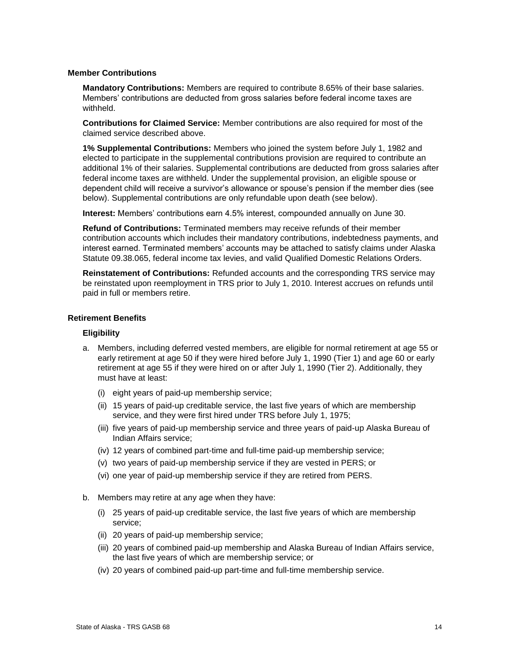#### **Member Contributions**

**Mandatory Contributions:** Members are required to contribute 8.65% of their base salaries. Members' contributions are deducted from gross salaries before federal income taxes are withheld.

**Contributions for Claimed Service:** Member contributions are also required for most of the claimed service described above.

**1% Supplemental Contributions:** Members who joined the system before July 1, 1982 and elected to participate in the supplemental contributions provision are required to contribute an additional 1% of their salaries. Supplemental contributions are deducted from gross salaries after federal income taxes are withheld. Under the supplemental provision, an eligible spouse or dependent child will receive a survivor's allowance or spouse's pension if the member dies (see below). Supplemental contributions are only refundable upon death (see below).

**Interest:** Members' contributions earn 4.5% interest, compounded annually on June 30.

**Refund of Contributions:** Terminated members may receive refunds of their member contribution accounts which includes their mandatory contributions, indebtedness payments, and interest earned. Terminated members' accounts may be attached to satisfy claims under Alaska Statute 09.38.065, federal income tax levies, and valid Qualified Domestic Relations Orders.

**Reinstatement of Contributions:** Refunded accounts and the corresponding TRS service may be reinstated upon reemployment in TRS prior to July 1, 2010. Interest accrues on refunds until paid in full or members retire.

#### **Retirement Benefits**

#### **Eligibility**

- a. Members, including deferred vested members, are eligible for normal retirement at age 55 or early retirement at age 50 if they were hired before July 1, 1990 (Tier 1) and age 60 or early retirement at age 55 if they were hired on or after July 1, 1990 (Tier 2). Additionally, they must have at least:
	- (i) eight years of paid-up membership service;
	- (ii) 15 years of paid-up creditable service, the last five years of which are membership service, and they were first hired under TRS before July 1, 1975;
	- (iii) five years of paid-up membership service and three years of paid-up Alaska Bureau of Indian Affairs service;
	- (iv) 12 years of combined part-time and full-time paid-up membership service;
	- (v) two years of paid-up membership service if they are vested in PERS; or
	- (vi) one year of paid-up membership service if they are retired from PERS.
- b. Members may retire at any age when they have:
	- (i) 25 years of paid-up creditable service, the last five years of which are membership service;
	- (ii) 20 years of paid-up membership service;
	- (iii) 20 years of combined paid-up membership and Alaska Bureau of Indian Affairs service, the last five years of which are membership service; or
	- (iv) 20 years of combined paid-up part-time and full-time membership service.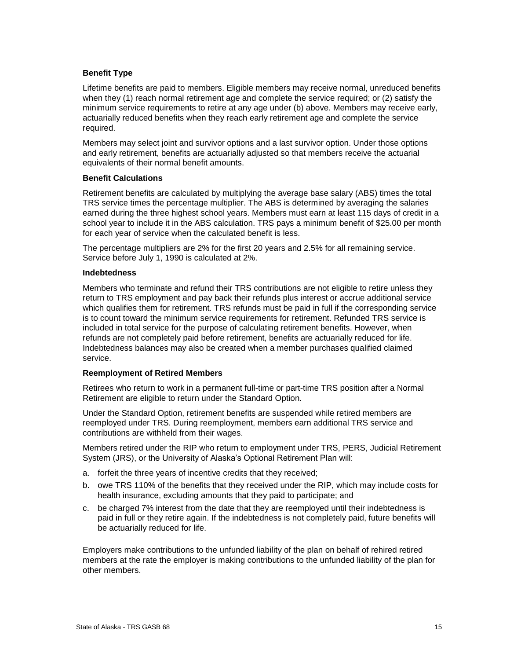#### **Benefit Type**

Lifetime benefits are paid to members. Eligible members may receive normal, unreduced benefits when they (1) reach normal retirement age and complete the service required; or (2) satisfy the minimum service requirements to retire at any age under (b) above. Members may receive early, actuarially reduced benefits when they reach early retirement age and complete the service required.

Members may select joint and survivor options and a last survivor option. Under those options and early retirement, benefits are actuarially adjusted so that members receive the actuarial equivalents of their normal benefit amounts.

#### **Benefit Calculations**

Retirement benefits are calculated by multiplying the average base salary (ABS) times the total TRS service times the percentage multiplier. The ABS is determined by averaging the salaries earned during the three highest school years. Members must earn at least 115 days of credit in a school year to include it in the ABS calculation. TRS pays a minimum benefit of \$25.00 per month for each year of service when the calculated benefit is less.

The percentage multipliers are 2% for the first 20 years and 2.5% for all remaining service. Service before July 1, 1990 is calculated at 2%.

#### **Indebtedness**

Members who terminate and refund their TRS contributions are not eligible to retire unless they return to TRS employment and pay back their refunds plus interest or accrue additional service which qualifies them for retirement. TRS refunds must be paid in full if the corresponding service is to count toward the minimum service requirements for retirement. Refunded TRS service is included in total service for the purpose of calculating retirement benefits. However, when refunds are not completely paid before retirement, benefits are actuarially reduced for life. Indebtedness balances may also be created when a member purchases qualified claimed service.

#### **Reemployment of Retired Members**

Retirees who return to work in a permanent full-time or part-time TRS position after a Normal Retirement are eligible to return under the Standard Option.

Under the Standard Option, retirement benefits are suspended while retired members are reemployed under TRS. During reemployment, members earn additional TRS service and contributions are withheld from their wages.

Members retired under the RIP who return to employment under TRS, PERS, Judicial Retirement System (JRS), or the University of Alaska's Optional Retirement Plan will:

- a. forfeit the three years of incentive credits that they received;
- b. owe TRS 110% of the benefits that they received under the RIP, which may include costs for health insurance, excluding amounts that they paid to participate; and
- c. be charged 7% interest from the date that they are reemployed until their indebtedness is paid in full or they retire again. If the indebtedness is not completely paid, future benefits will be actuarially reduced for life.

Employers make contributions to the unfunded liability of the plan on behalf of rehired retired members at the rate the employer is making contributions to the unfunded liability of the plan for other members.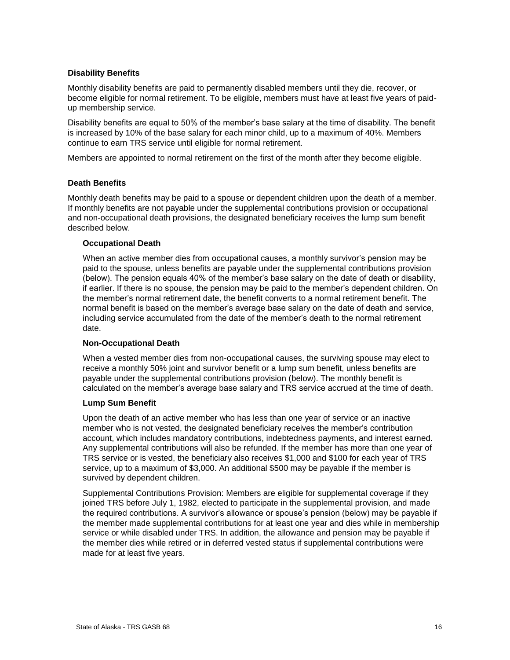#### **Disability Benefits**

Monthly disability benefits are paid to permanently disabled members until they die, recover, or become eligible for normal retirement. To be eligible, members must have at least five years of paidup membership service.

Disability benefits are equal to 50% of the member's base salary at the time of disability. The benefit is increased by 10% of the base salary for each minor child, up to a maximum of 40%. Members continue to earn TRS service until eligible for normal retirement.

Members are appointed to normal retirement on the first of the month after they become eligible.

#### **Death Benefits**

Monthly death benefits may be paid to a spouse or dependent children upon the death of a member. If monthly benefits are not payable under the supplemental contributions provision or occupational and non-occupational death provisions, the designated beneficiary receives the lump sum benefit described below.

#### **Occupational Death**

When an active member dies from occupational causes, a monthly survivor's pension may be paid to the spouse, unless benefits are payable under the supplemental contributions provision (below). The pension equals 40% of the member's base salary on the date of death or disability, if earlier. If there is no spouse, the pension may be paid to the member's dependent children. On the member's normal retirement date, the benefit converts to a normal retirement benefit. The normal benefit is based on the member's average base salary on the date of death and service, including service accumulated from the date of the member's death to the normal retirement date.

#### **Non-Occupational Death**

When a vested member dies from non-occupational causes, the surviving spouse may elect to receive a monthly 50% joint and survivor benefit or a lump sum benefit, unless benefits are payable under the supplemental contributions provision (below). The monthly benefit is calculated on the member's average base salary and TRS service accrued at the time of death.

#### **Lump Sum Benefit**

Upon the death of an active member who has less than one year of service or an inactive member who is not vested, the designated beneficiary receives the member's contribution account, which includes mandatory contributions, indebtedness payments, and interest earned. Any supplemental contributions will also be refunded. If the member has more than one year of TRS service or is vested, the beneficiary also receives \$1,000 and \$100 for each year of TRS service, up to a maximum of \$3,000. An additional \$500 may be payable if the member is survived by dependent children.

Supplemental Contributions Provision: Members are eligible for supplemental coverage if they joined TRS before July 1, 1982, elected to participate in the supplemental provision, and made the required contributions. A survivor's allowance or spouse's pension (below) may be payable if the member made supplemental contributions for at least one year and dies while in membership service or while disabled under TRS. In addition, the allowance and pension may be payable if the member dies while retired or in deferred vested status if supplemental contributions were made for at least five years.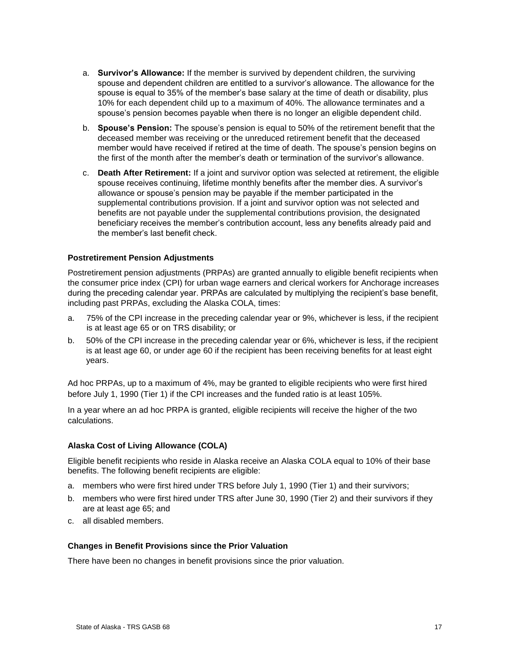- a. **Survivor's Allowance:** If the member is survived by dependent children, the surviving spouse and dependent children are entitled to a survivor's allowance. The allowance for the spouse is equal to 35% of the member's base salary at the time of death or disability, plus 10% for each dependent child up to a maximum of 40%. The allowance terminates and a spouse's pension becomes payable when there is no longer an eligible dependent child.
- b. **Spouse's Pension:** The spouse's pension is equal to 50% of the retirement benefit that the deceased member was receiving or the unreduced retirement benefit that the deceased member would have received if retired at the time of death. The spouse's pension begins on the first of the month after the member's death or termination of the survivor's allowance.
- c. **Death After Retirement:** If a joint and survivor option was selected at retirement, the eligible spouse receives continuing, lifetime monthly benefits after the member dies. A survivor's allowance or spouse's pension may be payable if the member participated in the supplemental contributions provision. If a joint and survivor option was not selected and benefits are not payable under the supplemental contributions provision, the designated beneficiary receives the member's contribution account, less any benefits already paid and the member's last benefit check.

#### **Postretirement Pension Adjustments**

Postretirement pension adjustments (PRPAs) are granted annually to eligible benefit recipients when the consumer price index (CPI) for urban wage earners and clerical workers for Anchorage increases during the preceding calendar year. PRPAs are calculated by multiplying the recipient's base benefit, including past PRPAs, excluding the Alaska COLA, times:

- a. 75% of the CPI increase in the preceding calendar year or 9%, whichever is less, if the recipient is at least age 65 or on TRS disability; or
- b. 50% of the CPI increase in the preceding calendar year or 6%, whichever is less, if the recipient is at least age 60, or under age 60 if the recipient has been receiving benefits for at least eight years.

Ad hoc PRPAs, up to a maximum of 4%, may be granted to eligible recipients who were first hired before July 1, 1990 (Tier 1) if the CPI increases and the funded ratio is at least 105%.

In a year where an ad hoc PRPA is granted, eligible recipients will receive the higher of the two calculations.

#### **Alaska Cost of Living Allowance (COLA)**

Eligible benefit recipients who reside in Alaska receive an Alaska COLA equal to 10% of their base benefits. The following benefit recipients are eligible:

- a. members who were first hired under TRS before July 1, 1990 (Tier 1) and their survivors;
- b. members who were first hired under TRS after June 30, 1990 (Tier 2) and their survivors if they are at least age 65; and
- c. all disabled members.

#### **Changes in Benefit Provisions since the Prior Valuation**

There have been no changes in benefit provisions since the prior valuation.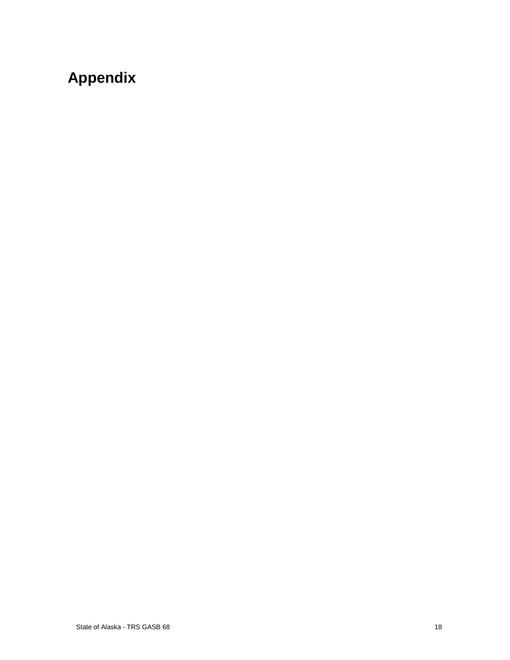# <span id="page-21-0"></span>**Appendix**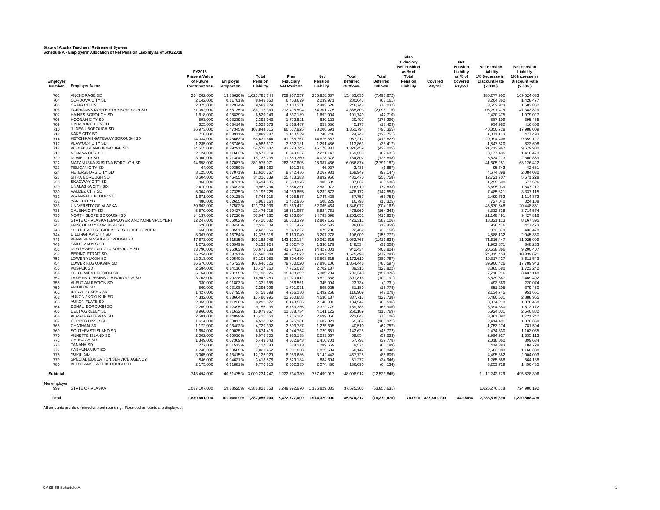|                    | Scriedule A - Employers, Allocation of Net Pension Liability as of 6/30/2016 | FY2018                                                    |                        |                               |                                                      |                             |                               |                              | Plan<br>Fiduciary<br><b>Net Position</b><br>as % of |                    | <b>Net</b><br>Pension<br>Liability | <b>Net Pension</b><br>Liability                      | <b>Net Pension</b><br>Liability                      |
|--------------------|------------------------------------------------------------------------------|-----------------------------------------------------------|------------------------|-------------------------------|------------------------------------------------------|-----------------------------|-------------------------------|------------------------------|-----------------------------------------------------|--------------------|------------------------------------|------------------------------------------------------|------------------------------------------------------|
| Employer<br>Number | <b>Employer Name</b>                                                         | <b>Present Value</b><br>of Future<br><b>Contributions</b> | Employer<br>Proportion | Total<br>Pension<br>Liability | Plan<br>Fiduciary<br><b>Net Position</b>             | Net<br>Pension<br>Liability | Total<br>Deferred<br>Outflows | Total<br>Deferred<br>Inflows | Total<br>Pension<br>Liability                       | Covered<br>Payroll | as % of<br>Covered<br>Payroll      | 1% Decrease in<br><b>Discount Rate</b><br>$(7.00\%)$ | 1% Increase in<br><b>Discount Rate</b><br>$(9.00\%)$ |
| 701                | ANCHORAGE SD                                                                 | 254,202,000                                               | 13.88626%              | 1,025,785,744                 | 759,957,057                                          | 265,828,687                 | 15,483,030                    | (7, 495, 672)                |                                                     |                    |                                    | 380,277,902                                          | 169,524,633                                          |
| 704                | CORDOVA CITY SD                                                              | 2,142,000                                                 | 0.11701%               | 8,643,650                     | 6,403,679                                            | 2,239,971                   | 280,643                       | (63, 161)                    |                                                     |                    |                                    | 3,204,362                                            | 1,428,477                                            |
| 705                | <b>CRAIG CITY SD</b>                                                         | 2.375.000                                                 | 0.12974%               | 9.583.879                     | 7.100.251                                            | 2.483.628                   | 246,748                       | (70.032)                     |                                                     |                    |                                    | 3.552.923                                            | 1.583.862                                            |
| 706<br>707         | FAIRBANKS NORTH STAR BOROUGH SD<br>HAINES BOROUGH SD                         | 71.052.000<br>1,618,000                                   | 3.88135%<br>0.08839%   | 286.717.369<br>6,529,143      | 212.415.594<br>4,837,139                             | 74.301.775<br>1.692.004     | 4.365.803<br>101,749          | (2,095,115)<br>(47, 710)     |                                                     |                    |                                    | 106.291.475<br>2.420.475                             | 47,383,829<br>1,079,027                              |
| 708                | <b>HOONAH CITY SD</b>                                                        | 593,000                                                   | 0.03239%               | 2,392,943                     | 1,772,821                                            | 620.123                     | 20,497                        | (175, 290)                   |                                                     |                    |                                    | 887.109                                              | 395,465                                              |
| 709                | <b>HYDABURG CITY SD</b>                                                      | 625,000                                                   | 0.03414%               | 2,522,073                     | 1,868,487                                            | 653,586                     | 45,177                        | (18, 429)                    |                                                     |                    |                                    | 934,980                                              | 416,806                                              |
| 710                | JUNEAU BOROUGH SD                                                            | 26,973,000                                                | 1.47345%               | 108,844,615                   | 80,637,925                                           | 28,206,691                  | 1,351,794                     | (795, 355)                   |                                                     |                    |                                    | 40,350,728                                           | 17,988,009                                           |
| 712                | KAKE CITY SD                                                                 | 716,000                                                   | 0.03911%               | 2,889,287                     | 2,140,539                                            | 748.748                     | 24,748                        | (128, 751)                   |                                                     |                    |                                    | 1,071,113                                            | 477,493                                              |
| 714<br>717         | KETCHIKAN GATEWAY BOROUGH SD<br><b>KLAWOCK CITY SD</b>                       | 14,034,000<br>1.235.000                                   | 0.76663%<br>0.06746%   | 56,631,644<br>4.983.617       | 41,955,757                                           | 14,675,887<br>1.291.486     | 967,217                       | (413, 822)                   |                                                     |                    |                                    | 20,994,406<br>1.847.520                              | 9,359,127<br>823,608                                 |
| 718                | KODIAK ISLAND BOROUGH SD                                                     | 14,515,000                                                | 0.79291%               | 58,572,632                    | 3,692,131<br>43,393,745                              | 15,178,887                  | 113,863<br>1,326,459          | (36, 417)<br>(428,005)       |                                                     |                    |                                    | 21,713,967                                           | 9,679,900                                            |
| 719                | NENANA CITY SD                                                               | 2,124,000                                                 | 0.11603%               | 8,571,014                     | 6,349,867                                            | 2,221,147                   | 159,558                       | (62, 631)                    |                                                     |                    |                                    | 3,177,435                                            | 1,416,473                                            |
| 720                | NOME CITY SD                                                                 | 3,900,000                                                 | 0.21304%               | 15,737,738                    | 11,659,360                                           | 4,078,378                   | 134,802                       | (128, 898)                   |                                                     |                    |                                    | 5,834,273                                            | 2,600,869                                            |
| 722                | MATANUSKA-SUSITNA BOROUGH SD                                                 | 94,658,000                                                | 5.17087%               | 381,975,071                   | 282,987,605                                          | 98,987,466                  | 6,086,874                     | (2,791,187)                  |                                                     |                    |                                    | 141,605,281                                          | 63,126,422                                           |
| 723                | PELICAN CITY SD<br>PETERSBURG CITY SD                                        | 64,000                                                    | 0.00350%               | 258,260                       | 191,333                                              | 66,927                      | 3,436                         | (1,887)                      |                                                     |                    |                                    | 95,742                                               | 42,681                                               |
| 724<br>727         | SITKA BOROUGH SD                                                             | 3,125,000<br>8,504,000                                    | 0.17071%<br>0.46455%   | 12,610,367<br>34,316,339      | 9,342,436<br>25,423,383                              | 3,267,931<br>8,892,956      | 169,949<br>482,470            | (92, 147)<br>(250, 758)      |                                                     |                    |                                    | 4,674,898<br>12,721,707                              | 2,084,030<br>5,671,228                               |
| 728                | SKAGWAY CITY SD                                                              | 866,000                                                   | 0.04731%               | 3,494,585                     | 2,588,976                                            | 905,609                     | 37,037                        | (25, 536)                    |                                                     |                    |                                    | 1,295,508                                            | 577,526                                              |
| 729                | <b>UNALASKA CITY SD</b>                                                      | 2,470,000                                                 | 0.13493%               | 9,967,234                     | 7,384,261                                            | 2,582,973                   | 116,910                       | (72, 833)                    |                                                     |                    |                                    | 3,695,039                                            | 1,647,217                                            |
| 730                | VALDEZ CITY SD                                                               | 5,004,000                                                 | 0.27335%               | 20,192,728                    | 14,959,855                                           | 5,232,873                   | 478,172                       | (147, 553)                   |                                                     |                    |                                    | 7,485,821                                            | 3,337,115                                            |
| 731                | <b>WRANGELL PUBLIC SD</b>                                                    | 1,671,000                                                 | 0.09128%               | 6,743,015                     | 4,995,587                                            | 1,747,428                   | 57,757                        | (63, 754)                    |                                                     |                    |                                    | 2,499,762                                            | 1,114,372                                            |
| 732<br>733         | YAKUTAT SD<br>UNIVERSITY OF ALASKA                                           | 486,000<br>30,663,000                                     | 0.02655%<br>1.67502%   | 1,961,164<br>123,734,936      | 1,452,936<br>91,669,472                              | 508,229<br>32,065,464       | 16,798<br>1,346,077           | (16, 325)<br>(904, 162)      |                                                     |                    |                                    | 727,040<br>45,870,848                                | 324,108<br>20,448,831                                |
| 735                | <b>GALENA CITY SD</b>                                                        | 5,570,000                                                 | 0.30427%               | 22,476,718                    | 16,651,957                                           | 5,824,761                   | 478,960                       | (164, 243)                   |                                                     |                    |                                    | 8,332,538                                            | 3,714,574                                            |
| 736                | NORTH SLOPE BOROUGH SD                                                       | 14,137,000                                                | 0.77226%               | 57,047,282                    | 42,263,684                                           | 14,783,598                  | 1,203,051                     | (416, 859)                   |                                                     |                    |                                    | 21,148,491                                           | 9,427,816                                            |
| 737                | STATE OF ALASKA (EMPLOYER AND NONEMPLOYER)                                   | 12,247,000                                                | 0.66902%               | 49,420,532                    | 36,613,379                                           | 12,807,153                  | 423,311                       | (382, 106)                   |                                                     |                    |                                    | 18,321,113                                           | 8,167,395                                            |
| 742                | BRISTOL BAY BOROUGH SD                                                       | 626,000                                                   | 0.03420%               | 2,526,109                     | 1,871,477                                            | 654,632                     | 38,008                        | (18, 459)                    |                                                     |                    |                                    | 936,476                                              | 417,473                                              |
| 743                | SOUTHEAST REGIONAL RESOURCE CENTER<br><b>DILLINGHAM CITY SD</b>              | 650,000                                                   | 0.03551%               | 2,622,956                     | 1,943,227                                            | 679,730                     | 22,467                        | (30, 153)                    |                                                     |                    |                                    | 972,379                                              | 433,478                                              |
| 744<br>746         | KENAI PENINSULA BOROUGH SD                                                   | 3,067,000<br>47,873,000                                   | 0.16754%<br>2.61515%   | 12,376,318<br>193, 182, 748   | 9,169,040<br>143,120,134                             | 3,207,278<br>50,062,615     | 106,009<br>3,052,765          | (158, 777)<br>(1,411,634)    |                                                     |                    |                                    | 4,588,132<br>71,616,447                              | 2,045,350<br>31,925,999                              |
| 748                | SAINT MARY'S SD                                                              | 1,272,000                                                 | 0.06949%               | 5,132,924                     | 3,802,745                                            | 1,330,179                   | 148,534                       | (37, 508)                    |                                                     |                    |                                    | 1,902,871                                            | 848,283                                              |
| 751                | NORTHWEST ARCTIC BOROUGH SD                                                  | 13,796,000                                                | 0.75363%               | 55,671,238                    | 41,244,237                                           | 14,427,001                  | 942,434                       | (406, 804)                   |                                                     |                    |                                    | 20,638,366                                           | 9,200,407                                            |
| 752                | <b>BERING STRAIT SD</b>                                                      | 16,254,000                                                | 0.88791%               | 65,590,048                    | 48,592,623                                           | 16,997,425                  | 1,575,498                     | (479, 283)                   |                                                     |                    |                                    | 24,315,454                                           | 10,839,621                                           |
| 753                | LOWER YUKON SD                                                               | 12,913,000                                                | 0.70540%               | 52,108,053                    | 38,604,439                                           | 13,503,615                  | 1,172,610                     | (380, 767)                   |                                                     |                    |                                    | 19,317,427                                           | 8,611,543                                            |
| 754<br>755         | LOWER KUSKOKWIM SD<br><b>KUSPUK SD</b>                                       | 26,676,000<br>2,584,000                                   | 1.45723%<br>0.14116%   | 107,646,126<br>10,427,260     | 79,750,020<br>7,725,073                              | 27,896,106<br>2,702,187     | 1,854,446<br>89,315           | (786, 597)<br>(128, 822)     |                                                     |                    |                                    | 39,906,426<br>3,865,580                              | 17,789,943<br>1,723,242                              |
| 756                | SOUTHWEST REGION SD                                                          | 5,154,000                                                 | 0.28155%               | 20.798.026                    | 15,408,292                                           | 5.389.734                   | 703.243                       | (151, 976)                   |                                                     |                    |                                    | 7,710,216                                            | 3,437,148                                            |
| 757                | LAKE AND PENINSULA BOROUGH SD                                                | 3,703,000                                                 | 0.20228%               | 14,942,780                    | 11,070,412                                           | 3,872,368                   | 391,816                       | (109, 191)                   |                                                     |                    |                                    | 5.539.567                                            | 2,469,492                                            |
| 758                | ALEUTIAN REGION SD                                                           | 330,000                                                   | 0.01803%               | 1,331,655                     | 986,561                                              | 345,094                     | 23,734                        | (9,731)                      |                                                     |                    |                                    | 493.669                                              | 220,074                                              |
| 759                | PRIBILOF SD                                                                  | 569,000                                                   | 0.03108%               | 2,296,096                     | 1,701,071                                            | 595,025                     | 81,180                        | (16, 778)                    |                                                     |                    |                                    | 851,205                                              | 379,460                                              |
| 761<br>762         | <b>IDITAROD AREA SD</b><br>YUKON / KOYUKUK SD                                | 1,427,000<br>4,332,000                                    | 0.07795%<br>0.23664%   | 5,758,398<br>17,480,995       | 4,266,130<br>12,950,858                              | 1,492,268<br>4,530,137      | 116,909<br>337,713            | (42,078)<br>(127, 738)       |                                                     |                    |                                    | 2,134,745<br>6,480,531                               | 951,651<br>2,888,965                                 |
| 763                | YUKON FLATS SD                                                               | 2,055,000                                                 | 0.11226%               | 8,292,577                     | 6,143,586                                            | 2,148,992                   | 184,947                       | (60, 596)                    |                                                     |                    |                                    | 3,074,213                                            | 1,370,458                                            |
| 764                | DENALI BOROUGH SD                                                            | 2,269,000                                                 | 0.12395%               | 9,156,135                     | 6,783,356                                            | 2,372,779                   | 169,785                       | (66, 906)                    |                                                     |                    |                                    | 3,394,350                                            | 1,513,172                                            |
| 765                | DELTA/GREELY SD                                                              | 3,960,000                                                 | 0.21632%               | 15,979,857                    | 11,838,734                                           | 4,141,122                   | 250,189                       | (116, 769)                   |                                                     |                    |                                    | 5,924,031                                            | 2,640,882                                            |
| 766                | ALASKA GATEWAY SD                                                            | 2,581,000                                                 | 0.14099%               | 10,415,154                    | 7,716,104                                            | 2,699,050                   | 223,042                       | (76, 106)                    |                                                     |                    |                                    | 3,861,092                                            | 1,721,242                                            |
| 767<br>768         | COPPER RIVER SD<br><b>CHATHAM SD</b>                                         | 1,614,000<br>1.172.000                                    | 0.08817%<br>0.06402%   | 6,513,002<br>4.729.392        | 4,825,181<br>3.503.787                               | 1,687,821<br>1.225.605      | 55,787<br>40.510              | (100, 971)<br>(62.757)       |                                                     |                    |                                    | 2,414,491<br>1.753.274                               | 1,076,360<br>781.594                                 |
| 769                | SOUTHEAST ISLAND SD                                                          | 1.654.000                                                 | 0.09035%               | 6.674.415                     | 4.944.764                                            | 1.729.651                   | 142.625                       | (48.772)                     |                                                     |                    |                                    | 2.474.330                                            | 1,103,035                                            |
| 770                | ANNETTE ISLAND SD                                                            | 2.002.000                                                 | 0.10936%               | 8.078.705                     | 5.985.138                                            | 2.093.567                   | 69.854                        | (59,033)                     |                                                     |                    |                                    | 2.994.927                                            | 1,335,113                                            |
| 771                | CHUGACH SD                                                                   | 1.349.000                                                 | 0.07369%               | 5,443,643                     | 4,032,943                                            | 1.410.701                   | 57,792                        | (39, 778)                    |                                                     |                    |                                    | 2.018.060                                            | 899,634                                              |
| 775                | <b>TANANA SD</b>                                                             | 277,000                                                   | 0.01513%               | 1,117,783                     | 828,113                                              | 289,669                     | 9,574                         | (66, 189)                    |                                                     |                    |                                    | 414,383                                              | 184,728                                              |
| 777<br>778         | <b>KASHUNAMIUT SD</b><br>YUPIIT SD                                           | 1,740,000<br>3,005,000                                    | 0.09505%<br>0.16415%   | 7,021,452<br>12,126,129       | 5,201,868<br>8,983,686                               | 1,819,584<br>3,142,443      | 60,142<br>467,728             | (63, 348)<br>(88, 609)       |                                                     |                    |                                    | 2,602,983<br>4,495,382                               | 1,160,388<br>2,004,003                               |
| 779                | SPECIAL EDUCATION SERVICE AGENCY                                             | 846,000                                                   | 0.04621%               | 3,413,878                     | 2,529,184                                            | 884,694                     | 51,277                        | (24, 946)                    |                                                     |                    |                                    | 1,265,588                                            | 564,188                                              |
| 780                | ALEUTIANS EAST BOROUGH SD                                                    | 2,175,000                                                 | 0.11881%               | 8,776,815                     | 6,502,335                                            | 2,274,480                   | 136,090                       | (64, 134)                    |                                                     |                    |                                    | 3,253,729                                            | 1,450,485                                            |
| Subtotal           |                                                                              | 743,494,000                                               |                        | 40.61475% 3,000,234,247       | 2,222,734,330                                        | 777,499,917                 | 48,098,912                    | (22, 523, 845)               |                                                     |                    |                                    | 1,112,242,776                                        | 495,828,306                                          |
| Nonemplover:       |                                                                              |                                                           |                        |                               |                                                      |                             |                               |                              |                                                     |                    |                                    |                                                      |                                                      |
| 999                | STATE OF ALASKA                                                              | 1,087,107,000                                             |                        |                               | 59.38525% 4,386,821,753 3,249,992,670 1,136,829,083  |                             | 37,575,305                    | (53,855,631)                 |                                                     |                    |                                    | 1,626,276,618                                        | 724,980,192                                          |
| Total              |                                                                              | 1,830,601,000                                             |                        |                               | 100.00000% 7,387,056,000 5,472,727,000 1,914,329,000 |                             | 85,674,217                    | (76, 379, 476)               |                                                     | 74.09% 425,841,000 | 449.54%                            | 2,738,519,394                                        | 1,220,808,498                                        |

All amounts are determined without rounding. Rounded amounts are displayed.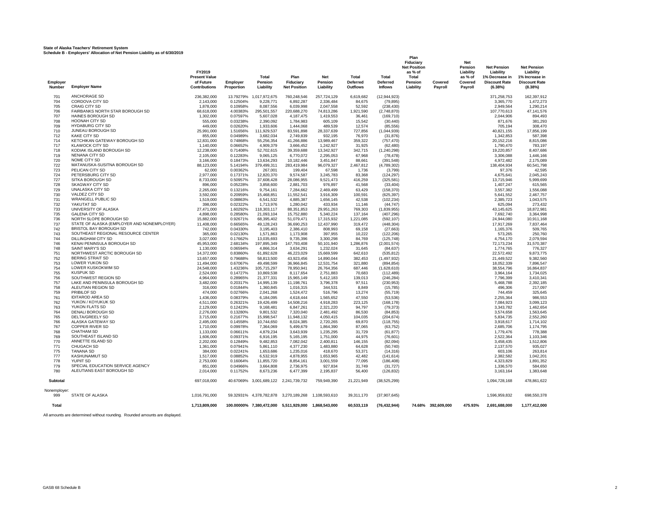|                    | Scriedule B - Employers, Allocation or Net Pension Liability as 01 6/30/2013 | FY2019<br><b>Present Value</b>    |                        | <b>Total</b>             | Plan                                                 | <b>Net</b>               | <b>Total</b>                | Total                             | Plan<br>Fiduciary<br><b>Net Position</b><br>as % of<br>Total |                    | <b>Net</b><br>Pension<br>Liability<br>as % of | <b>Net Pension</b><br>Liability<br>1% Decrease in | <b>Net Pension</b><br>Liability<br>1% Increase in |
|--------------------|------------------------------------------------------------------------------|-----------------------------------|------------------------|--------------------------|------------------------------------------------------|--------------------------|-----------------------------|-----------------------------------|--------------------------------------------------------------|--------------------|-----------------------------------------------|---------------------------------------------------|---------------------------------------------------|
| Employer<br>Number | <b>Employer Name</b>                                                         | of Future<br><b>Contributions</b> | Employer<br>Proportion | Pension<br>Liability     | Fiduciary<br><b>Net Position</b>                     | Pension<br>Liability     | <b>Deferred</b><br>Outflows | <b>Deferred</b><br><b>Inflows</b> | Pension<br>Liability                                         | Covered<br>Payroll | Covered<br>Payroll                            | <b>Discount Rate</b><br>(6.38%)                   | <b>Discount Rate</b><br>(8.38%)                   |
| 701                | <b>ANCHORAGE SD</b>                                                          | 236.382.000                       |                        | 13.79279% 1.017.972.675  | 760.248.546                                          | 257.724.129              | 6.619.682                   | (12, 944, 923)                    |                                                              |                    |                                               | 371.258.753                                       | 162.397.912                                       |
| 704                | CORDOVA CITY SD                                                              | 2,143,000                         | 0.12504%               | 9,228,771                | 6,892,287                                            | 2,336,484                | 84,675                      | (79, 895)                         |                                                              |                    |                                               | 3,365,770                                         | 1,472,273                                         |
| 705                | <b>CRAIG CITY SD</b><br>FAIRBANKS NORTH STAR BOROUGH SD                      | 1,878,000                         | 0.10958%               | 8,087,556                | 6,039,998                                            | 2.047.558                | 52,592                      | (238, 430)                        |                                                              |                    |                                               | 2.949.564                                         | 1,290,214                                         |
| 706<br>707         | HAINES BOROUGH SD                                                            | 68.618.000<br>1,302,000           | 4.00383%<br>0.07597%   | 295,501,557<br>5,607,028 | 220,688,270<br>4,187,475                             | 74.813.286<br>1,419,553  | 1,921,590<br>36,461         | (2,748,870)<br>(169, 710)         |                                                              |                    |                                               | 107.770.613<br>2,044,906                          | 47,141,576<br>894,493                             |
| 708                | <b>HOONAH CITY SD</b>                                                        | 555,000                           | 0.03238%               | 2,390,092                | 1,784,983                                            | 605,109                  | 15,542                      | (30, 440)                         |                                                              |                    |                                               | 871.676                                           | 381,293                                           |
| 709                | <b>HYDABURG CITY SD</b>                                                      | 449.000                           | 0.02620%               | 1,933,606                | 1,444,068                                            | 489.539                  | 12,574                      | (85, 556)                         |                                                              |                    |                                               | 705,194                                           | 308,470                                           |
| 710                | JUNEAU BOROUGH SD                                                            | 25,991,000                        | 1.51656%               | 111,929,537              | 83,591,898                                           | 28,337,639               | 727,856                     | (1,044,939)                       |                                                              |                    |                                               | 40,821,155                                        | 17,856,199                                        |
| 712                | <b>KAKE CITY SD</b>                                                          | 855,000                           | 0.04989%               | 3,682,034                | 2,749,839                                            | 932,195                  | 76,970                      | (31, 876)                         |                                                              |                    |                                               | 1,342,853                                         | 587,398                                           |
| 714                | KETCHIKAN GATEWAY BOROUGH SD                                                 | 12.831.000                        | 0.74868%               | 55,256,354               | 41,266,886                                           | 13.989.467               | 359,322                     | (757, 470)                        |                                                              |                    |                                               | 20,152,216                                        | 8,815,086                                         |
| 717<br>718         | <b>KLAWOCK CITY SD</b><br>KODIAK ISLAND BOROUGH SD                           | 1,140,000<br>12,238,000           | 0.06652%<br>0.71408%   | 4,909,379<br>52,702,615  | 3,666,452<br>39,359,688                              | 1,242,927<br>13,342,927  | 31,925<br>342,715           | (62, 480)<br>(1,240,298)          |                                                              |                    |                                               | 1,790,470<br>19,220,857                           | 783,197<br>8,407,686                              |
| 719                | NENANA CITY SD                                                               | 2,105,000                         | 0.12283%               | 9,065,125                | 6,770,072                                            | 2,295,053                | 67,968                      | (78, 478)                         |                                                              |                    |                                               | 3,306,088                                         | 1,446,166                                         |
| 720                | NOME CITY SD                                                                 | 3,166,000                         | 0.18473%               | 13,634,293               | 10,182,446                                           | 3,451,847                | 88,661                      | (391, 548)                        |                                                              |                    |                                               | 4,972,482                                         | 2,175,089                                         |
| 722                | MATANUSKA-SUSITNA BOROUGH SD                                                 | 88,123,000                        | 5.14194%               | 379,499,311              | 283,419,984                                          | 96,079,327               | 2,467,812                   | (4,789,302)                       |                                                              |                    |                                               | 138.404.934                                       | 60,541,798                                        |
| 723                | PELICAN CITY SD                                                              | 62,000                            | 0.00362%               | 267,001                  | 199,404                                              | 67,598                   | 1,736                       | (3,799)                           |                                                              |                    |                                               | 97,376                                            | 42,595                                            |
| 724                | PETERSBURG CITY SD                                                           | 2,977,000                         | 0.17371%               | 12,820,370               | 9,574,587                                            | 3,245,783                | 83,368                      | (124, 297)                        |                                                              |                    |                                               | 4,675,641                                         | 2,045,243                                         |
| 727<br>728         | SITKA BOROUGH SD<br>SKAGWAY CITY SD                                          | 8,733,000                         | 0.50957%               | 37,608,428               | 28,086,955                                           | 9,521,473                | 416,259                     | (325, 581)                        |                                                              |                    |                                               | 13,715,946                                        | 5,999,699                                         |
| 729                | UNALASKA CITY SD                                                             | 896,000<br>2,265,000              | 0.05228%<br>0.13216%   | 3,858,600<br>9,754,161   | 2,881,703<br>7,284,662                               | 976,897<br>2,469,499     | 41,568<br>63,429            | (33, 404)<br>(158, 370)           |                                                              |                    |                                               | 1,407,247<br>3,557,382                            | 615,565<br>1,556,088                              |
| 730                | VALDEZ CITY SD                                                               | 3,592,000                         | 0.20959%               | 15,468,851               | 11,552,541                                           | 3,916,309                | 100,591                     | (625, 397)                        |                                                              |                    |                                               | 5,641,552                                         | 2,467,757                                         |
| 731                | <b>WRANGELL PUBLIC SD</b>                                                    | 1,519,000                         | 0.08863%               | 6,541,532                | 4,885,387                                            | 1,656,145                | 42,538                      | (102, 234)                        |                                                              |                    |                                               | 2,385,723                                         | 1,043,575                                         |
| 732                | YAKUTAT SD                                                                   | 398,000                           | 0.02322%               | 1,713,976                | 1,280,042                                            | 433,934                  | 11,146                      | (44, 747)                         |                                                              |                    |                                               | 625,094                                           | 273,432                                           |
| 733                | UNIVERSITY OF ALASKA                                                         | 27,471,000                        | 1.60292%               | 118,303,117              | 88,351,853                                           | 29,951,263               | 769,303                     | (1,839,955)                       |                                                              |                    |                                               | 43,145,625                                        | 18,872,98                                         |
| 735                | <b>GALENA CITY SD</b><br>NORTH SLOPE BOROUGH SD                              | 4,898,000                         | 0.28580%               | 21,093,104               | 15,752,880                                           | 5,340,224                | 137,164                     | (407, 296)                        |                                                              |                    |                                               | 7,692,740                                         | 3,364,998                                         |
| 736<br>737         | STATE OF ALASKA (EMPLOYER AND NONEMPLOYER)                                   | 15,882,000<br>11,408,000          | 0.92671%<br>0.66565%   | 68.395.402<br>49.128.243 | 51,079,471<br>36,690,253                             | 17.315.932<br>12.437.990 | 1.221.085<br>319,472        | (592, 107)<br>(448.304)           |                                                              |                    |                                               | 24.944.080<br>17,917,269                          | 10.911.168<br>7,837,464                           |
| 742                | BRISTOL BAY BOROUGH SD                                                       | 742,000                           | 0.04330%               | 3,195,403                | 2,386,410                                            | 808,993                  | 69,158                      | (27, 663)                         |                                                              |                    |                                               | 1,165,376                                         | 509,765                                           |
| 743                | SOUTHEAST REGIONAL RESOURCE CENTER                                           | 365,000                           | 0.02130%               | 1,571,863                | 1,173,908                                            | 397,955                  | 10,222                      | (122, 206)                        |                                                              |                    |                                               | 573,265                                           | 250,760                                           |
| 744                | <b>DILLINGHAM CITY SD</b>                                                    | 3,027,000                         | 0.17662%               | 13,035,693               | 9,735,396                                            | 3,300,298                | 84,769                      | (125, 748)                        |                                                              |                    |                                               | 4,754,170                                         | 2,079,594                                         |
| 746                | KENAI PENINSULA BOROUGH SD                                                   | 45,953,000                        | 2.68134%               | 197,895,349              | 147,793,408                                          | 50,101,940               | 1,286,876                   | (2,001,574)                       |                                                              |                    |                                               | 72,173,234                                        | 31,570,38                                         |
| 748                | SAINT MARY'S SD                                                              | 1,130,000                         | 0.06594%               | 4,866,314                | 3,634,291                                            | 1,232,024                | 31,645                      | (84, 637)                         |                                                              |                    |                                               | 1,774,765                                         | 776,327                                           |
| 751<br>752         | NORTHWEST ARCTIC BOROUGH SD<br><b>BERING STRAIT SD</b>                       | 14,372,000<br>13,657,000          | 0.83860%<br>0.79688%   | 61,892,628<br>58,813,500 | 46,223,029<br>43,923,456                             | 15,669,599<br>14,890,044 | 642,610<br>382,453          | (535, 812)<br>(1,497,932)         |                                                              |                    |                                               | 22,572,492<br>21,449,522                          | 9,873,775<br>9,382,560                            |
| 753                | LOWER YUKON SD                                                               | 11,494,000                        | 0.67067%               | 49,498,599               | 36,966,845                                           | 12,531,754               | 321,880                     | (894, 854)                        |                                                              |                    |                                               | 18,052,339                                        | 7,896,547                                         |
| 754                | LOWER KUSKOKWIM SD                                                           | 24,548,000                        | 1.43236%               | 105.715.297              | 78.950.941                                           | 26.764.356               | 687.446                     | (1.628.610)                       |                                                              |                    |                                               | 38.554.796                                        | 16.864.837                                        |
| 755                | <b>KUSPUK SD</b>                                                             | 2,524,000                         | 0.14727%               | 10,869,538               | 8,117,654                                            | 2,751,883                | 70,683                      | (112, 489)                        |                                                              |                    |                                               | 3,964,164                                         | 1,734,025                                         |
| 756                | SOUTHWEST REGION SD                                                          | 4.964.000                         | 0.28965%               | 21,377,331               | 15.965.149                                           | 5.412.183                | 139.013                     | (246.284)                         |                                                              |                    |                                               | 7.796.399                                         | 3,410,341                                         |
| 757<br>758         | LAKE AND PENINSULA BOROUGH SD<br>ALEUTIAN REGION SD                          | 3,482,000                         | 0.20317%<br>0.01844%   | 14,995,139               | 11,198,761                                           | 3,796,378                | 97,511<br>8.849             | (230, 953)                        |                                                              |                    |                                               | 5,468,788<br>496.306                              | 2,392,185                                         |
| 759                | PRIBILOF SD                                                                  | 316,000<br>474,000                | 0.02766%               | 1,360,845<br>2,041,268   | 1,016,315<br>1,524,472                               | 344,531<br>516,796       | 13,274                      | (15, 785)<br>(55, 719)            |                                                              |                    |                                               | 744,459                                           | 217,097<br>325,645                                |
| 761                | <b>IDITAROD AREA SD</b>                                                      | 1,436,000                         | 0.08379%               | 6,184,095                | 4,618,444                                            | 1,565,652                | 47,550                      | (53, 536)                         |                                                              |                    |                                               | 2,255,364                                         | 986,553                                           |
| 762                | YUKON / KOYUKUK SD                                                           | 4,511,000                         | 0.26321%               | 19,426,499               | 14,508,216                                           | 4,918,283                | 223,125                     | (168, 178)                        |                                                              |                    |                                               | 7,084,923                                         | 3,099,123                                         |
| 763                | YUKON FLATS SD                                                               | 2,129,000                         | 0.12423%               | 9,168,481                | 6,847,261                                            | 2,321,220                | 94,797                      | (79, 373)                         |                                                              |                    |                                               | 3,343,782                                         | 1,462,654                                         |
| 764                | DENALI BOROUGH SD                                                            | 2,276,000                         | 0.13280%               | 9,801,532                | 7,320,040                                            | 2,481,492                | 86,530                      | (84, 853)                         |                                                              |                    |                                               | 3,574,658                                         | 1,563,645                                         |
| 765                | DELTA/GREELY SD                                                              | 3,715,000                         | 0.21677%               | 15,998,547               | 11,948,132                                           | 4,050,415                | 104,035                     | (204, 674)                        |                                                              |                    |                                               | 5,834,735                                         | 2,552,260                                         |
| 766<br>767         | ALASKA GATEWAY SD<br><b>COPPER RIVER SD</b>                                  | 2,495,000<br>1,710,000            | 0.14558%<br>0.09978%   | 10,744,650<br>7,364,069  | 8,024,385<br>5,499,679                               | 2,720,265<br>1,864,390   | 69,870<br>87,065            | (118, 755)<br>(63, 752)           |                                                              |                    |                                               | 3,918,617<br>2,685,706                            | 1,714,102<br>1,174,795                            |
| 768                | <b>CHATHAM SD</b>                                                            | 1,133,000                         | 0.06611%               | 4,879,234                | 3,643,939                                            | 1,235,295                | 31,729                      | (61, 877)                         |                                                              |                    |                                               | 1,779,476                                         | 778,388                                           |
| 769                | SOUTHEAST ISLAND SD                                                          | 1.606.000                         | 0.09371%               | 6.916.195                | 5.165.195                                            | 1.751.000                | 44.975                      | (76.601)                          |                                                              |                    |                                               | 2.522.364                                         | 1,103,346                                         |
| 770                | ANNETTE ISLAND SD                                                            | 2,202,000                         | 0.12849%               | 9,482,853                | 7,082,042                                            | 2,400,811                | 146,155                     | (82,094)                          |                                                              |                    |                                               | 3,458,435                                         | 1,512,806                                         |
| 771                | CHUGACH SD                                                                   | 1,361,000                         | 0.07941%               | 5,861,110                | 4,377,230                                            | 1,483,880                | 64.628                      | (50, 740)                         |                                                              |                    |                                               | 2,137,570                                         | 935,027                                           |
| 775                | <b>TANANA SD</b>                                                             | 384.000                           | 0.02241%               | 1,653,686                | 1,235,016                                            | 418,670                  | 53,371                      | (14, 316)                         |                                                              |                    |                                               | 603,106                                           | 263,814                                           |
| 777                | KASHUNAMIUT SD<br>YUPIIT SD                                                  | 1,517,000                         | 0.08852%               | 6,532,919                | 4,878,955                                            | 1,653,965                | 42,482                      | (141, 614)                        |                                                              |                    |                                               | 2,382,582                                         | 1,042,201                                         |
| 778<br>779         | SPECIAL EDUCATION SERVICE AGENCY                                             | 2,753,000<br>851,000              | 0.16064%<br>0.04966%   | 11,855,720<br>3,664,808  | 8,854,161<br>2,736,975                               | 3,001,559<br>927,834     | 77,095<br>31,749            | (186, 408)<br>(31, 727)           |                                                              |                    |                                               | 4,323,829<br>1,336,570                            | 1,891,352<br>584,650                              |
| 780                | ALEUTIANS EAST BOROUGH SD                                                    | 2,014,000                         | 0.11752%               | 8,673,236                | 6,477,399                                            | 2,195,837                | 56,400                      | (126, 832)                        |                                                              |                    |                                               | 3,163,164                                         | 1,383,648                                         |
| <b>Subtotal</b>    |                                                                              | 697,018,000                       |                        |                          | 40.67069% 3,001,689,122 2,241,739,732                | 759,949,390              | 21,221,949                  | (38, 525, 299)                    |                                                              |                    |                                               | 1,094,728,168                                     | 478.861.622                                       |
| Nonemplover:       |                                                                              |                                   |                        |                          |                                                      |                          |                             |                                   |                                                              |                    |                                               |                                                   |                                                   |
| 999                | STATE OF ALASKA                                                              | 1,016,791,000                     |                        |                          | 59.32931% 4,378,782,878 3,270,189,268 1,108,593,610  |                          | 39.311.170                  | (37,907,645)                      |                                                              |                    |                                               | 1,596,959,832                                     | 698,550,378                                       |
| Total              |                                                                              | 1.713.809.000                     |                        |                          | 100.00000% 7,380,472,000 5,511,929,000 1,868,543,000 |                          | 60,533,119                  | (76, 432, 944)                    |                                                              | 74.68% 392.609.000 | 475.93%                                       | 2,691,688,000                                     | 1,177,412,000                                     |

All amounts are determined without rounding. Rounded amounts are displayed.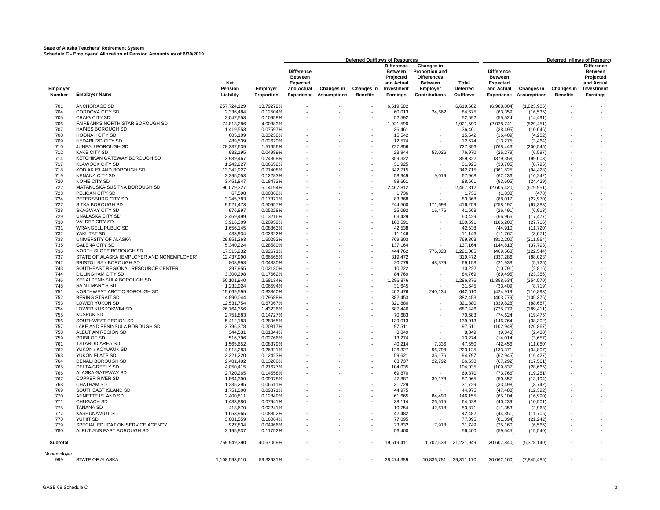|                    | <b>Deferred Outflows of Resources</b>                        |                                    |                        |                                                                                    |                                  |                               |                                                                                   | Deferred Inflows of Resource                                                                                    |                                      |                                                                                    |                                         |                               |                                                                                          |
|--------------------|--------------------------------------------------------------|------------------------------------|------------------------|------------------------------------------------------------------------------------|----------------------------------|-------------------------------|-----------------------------------------------------------------------------------|-----------------------------------------------------------------------------------------------------------------|--------------------------------------|------------------------------------------------------------------------------------|-----------------------------------------|-------------------------------|------------------------------------------------------------------------------------------|
| Employer<br>Number | <b>Employer Name</b>                                         | <b>Net</b><br>Pension<br>Liability | Employer<br>Proportion | <b>Difference</b><br><b>Between</b><br><b>Expected</b><br>and Actual<br>Experience | Changes in<br><b>Assumptions</b> | Changes in<br><b>Benefits</b> | <b>Difference</b><br>Between<br>Projected<br>and Actual<br>Investment<br>Earnings | Changes in<br><b>Proportion and</b><br><b>Differences</b><br><b>Between</b><br>Employer<br><b>Contributions</b> | Total<br><b>Deferred</b><br>Outflows | <b>Difference</b><br><b>Between</b><br><b>Expected</b><br>and Actual<br>Experience | <b>Changes in</b><br><b>Assumptions</b> | Changes in<br><b>Benefits</b> | <b>Difference</b><br><b>Between</b><br>Projected<br>and Actual<br>Investment<br>Earnings |
|                    |                                                              |                                    |                        |                                                                                    |                                  |                               |                                                                                   |                                                                                                                 |                                      |                                                                                    |                                         |                               |                                                                                          |
| 701                | <b>ANCHORAGE SD</b>                                          | 257.724.129                        | 13.79279%              |                                                                                    |                                  | $\overline{\phantom{a}}$      | 6.619.682                                                                         |                                                                                                                 | 6.619.682                            | (6,988,804)                                                                        | (1,823,906)                             |                               |                                                                                          |
| 704                | <b>CORDOVA CITY SD</b>                                       | 2,336,484                          | 0.12504%               |                                                                                    |                                  |                               | 60,013                                                                            | 24,662                                                                                                          | 84,675                               | (63, 359)                                                                          | (16, 535)                               |                               |                                                                                          |
| 705                | <b>CRAIG CITY SD</b>                                         | 2,047,558                          | 0.10958%               |                                                                                    |                                  |                               | 52,592                                                                            |                                                                                                                 | 52,592                               | (55, 524)                                                                          | (14, 491)                               |                               |                                                                                          |
| 706                | FAIRBANKS NORTH STAR BOROUGH SD                              | 74,813,286                         | 4.00383%               |                                                                                    |                                  |                               | 1,921,590                                                                         |                                                                                                                 | 1,921,590                            | (2,028,741)                                                                        | (529, 451)                              |                               |                                                                                          |
| 707<br>708         | <b>HAINES BOROUGH SD</b><br><b>HOONAH CITY SD</b>            | 1,419,553<br>605,109               | 0.07597%<br>0.03238%   |                                                                                    |                                  |                               | 36,461<br>15,542                                                                  |                                                                                                                 | 36,461<br>15,542                     | (38, 495)<br>(16, 409)                                                             | (10,046)                                |                               |                                                                                          |
| 709                | <b>HYDABURG CITY SD</b>                                      | 489,539                            | 0.02620%               |                                                                                    |                                  |                               | 12,574                                                                            |                                                                                                                 | 12,574                               | (13, 275)                                                                          | (4,282)<br>(3, 464)                     |                               |                                                                                          |
| 710                | JUNEAU BOROUGH SD                                            | 28.337.639                         | 1.51656%               |                                                                                    |                                  |                               | 727.856                                                                           |                                                                                                                 | 727.856                              | (768, 443)                                                                         | (200, 545)                              |                               |                                                                                          |
| 712                | <b>KAKE CITY SD</b>                                          | 932,195                            | 0.04989%               |                                                                                    |                                  |                               | 23,944                                                                            | 53,026                                                                                                          | 76,970                               | (25, 279)                                                                          | (6, 597)                                |                               |                                                                                          |
| 714                | KETCHIKAN GATEWAY BOROUGH SD                                 | 13,989,467                         | 0.74868%               |                                                                                    |                                  |                               | 359,322                                                                           | $\sim$                                                                                                          | 359,322                              | (379, 358)                                                                         | (99,003)                                |                               |                                                                                          |
| 717                | <b>KLAWOCK CITY SD</b>                                       | 1,242,927                          | 0.06652%               |                                                                                    |                                  |                               | 31,925                                                                            | $\sim$                                                                                                          | 31,925                               | (33,705)                                                                           | (8,796)                                 |                               |                                                                                          |
| 718                | KODIAK ISLAND BOROUGH SD                                     | 13,342,927                         | 0.71408%               |                                                                                    |                                  |                               | 342.715                                                                           |                                                                                                                 | 342,715                              | (361, 825)                                                                         | (94, 428)                               |                               |                                                                                          |
| 719                | <b>NENANA CITY SD</b>                                        | 2,295,053                          | 0.12283%               |                                                                                    |                                  |                               | 58.949                                                                            | 9,019                                                                                                           | 67,968                               | (62, 236)                                                                          | (16, 242)                               |                               |                                                                                          |
| 720                | NOME CITY SD                                                 | 3,451,847                          | 0.18473%               |                                                                                    |                                  |                               | 88,661                                                                            |                                                                                                                 | 88,661                               | (93, 605)                                                                          | (24, 429)                               |                               |                                                                                          |
| 722                | MATANUSKA-SUSITNA BOROUGH SD                                 | 96.079.327                         | 5.14194%               |                                                                                    |                                  |                               | 2.467.812                                                                         |                                                                                                                 | 2.467.812                            | (2,605,420)                                                                        | (679, 951)                              |                               |                                                                                          |
| 723<br>724         | PELICAN CITY SD<br>PETERSBURG CITY SD                        | 67,598<br>3,245,783                | 0.00362%               |                                                                                    |                                  |                               | 1,736                                                                             | $\sim$                                                                                                          | 1,736                                | (1,833)                                                                            | (478)                                   |                               |                                                                                          |
| 727                | SITKA BOROUGH SD                                             | 9,521,473                          | 0.17371%<br>0.50957%   |                                                                                    |                                  |                               | 83,368<br>244,560                                                                 | 171,698                                                                                                         | 83,368<br>416,259                    | (88,017)<br>(258, 197)                                                             | (22, 970)<br>(67, 383)                  |                               |                                                                                          |
| 728                | <b>SKAGWAY CITY SD</b>                                       | 976.897                            | 0.05228%               |                                                                                    |                                  |                               | 25.092                                                                            | 16,476                                                                                                          | 41.568                               | (26, 491)                                                                          | (6,913)                                 |                               |                                                                                          |
| 729                | <b>UNALASKA CITY SD</b>                                      | 2,469,499                          | 0.13216%               |                                                                                    |                                  |                               | 63,429                                                                            |                                                                                                                 | 63,429                               | (66, 966)                                                                          | (17, 477)                               |                               |                                                                                          |
| 730                | VALDEZ CITY SD                                               | 3,916,309                          | 0.20959%               |                                                                                    |                                  |                               | 100,591                                                                           | $\sim$                                                                                                          | 100,591                              | (106, 200)                                                                         | (27, 716)                               |                               |                                                                                          |
| 731                | <b>WRANGELL PUBLIC SD</b>                                    | 1,656,145                          | 0.08863%               |                                                                                    |                                  |                               | 42,538                                                                            |                                                                                                                 | 42,538                               | (44, 910)                                                                          | (11, 720)                               |                               |                                                                                          |
| 732                | YAKUTAT SD                                                   | 433,934                            | 0.02322%               |                                                                                    |                                  |                               | 11,146                                                                            |                                                                                                                 | 11.146                               | (11,767)                                                                           | (3,071)                                 |                               |                                                                                          |
| 733                | UNIVERSITY OF ALASKA                                         | 29,951,263                         | 1.60292%               |                                                                                    |                                  |                               | 769,303                                                                           |                                                                                                                 | 769,303                              | (812, 200)                                                                         | (211, 964)                              |                               |                                                                                          |
| 735                | <b>GALENA CITY SD</b>                                        | 5,340,224                          | 0.28580%               |                                                                                    |                                  |                               | 137,164                                                                           |                                                                                                                 | 137,164                              | (144, 813)                                                                         | (37, 793)                               |                               |                                                                                          |
| 736                | NORTH SLOPE BOROUGH SD                                       | 17,315,932                         | 0.92671%               |                                                                                    |                                  |                               | 444.762                                                                           | 776,323                                                                                                         | 1,221,085                            | (469, 563)                                                                         | (122, 544)                              |                               |                                                                                          |
| 737                | STATE OF ALASKA (EMPLOYER AND NONEMPLOYER)                   | 12,437,990                         | 0.66565%               |                                                                                    |                                  |                               | 319,472                                                                           |                                                                                                                 | 319,472                              | (337, 286)                                                                         | (88,023)                                |                               |                                                                                          |
| 742<br>743         | BRISTOL BAY BOROUGH SD<br>SOUTHEAST REGIONAL RESOURCE CENTER | 808,993<br>397,955                 | 0.04330%<br>0.02130%   |                                                                                    |                                  |                               | 20,779<br>10,222                                                                  | 48,379                                                                                                          | 69,158<br>10,222                     | (21, 938)<br>(10, 791)                                                             | (5, 725)<br>(2,816)                     |                               |                                                                                          |
| 744                | <b>DILLINGHAM CITY SD</b>                                    | 3,300,298                          | 0.17662%               |                                                                                    |                                  |                               | 84,769                                                                            | $\sim$                                                                                                          | 84,769                               | (89, 495)                                                                          | (23, 356)                               |                               |                                                                                          |
| 746                | KENAI PENINSULA BOROUGH SD                                   | 50,101,940                         | 2.68134%               |                                                                                    |                                  |                               | 1,286,876                                                                         | $\sim$                                                                                                          | 1,286,876                            | (1,358,634)                                                                        | (354, 570)                              |                               |                                                                                          |
| 748                | SAINT MARY'S SD                                              | 1,232,024                          | 0.06594%               |                                                                                    |                                  |                               | 31,645                                                                            |                                                                                                                 | 31,645                               | (33, 409)                                                                          | (8,719)                                 |                               |                                                                                          |
| 751                | NORTHWEST ARCTIC BOROUGH SD                                  | 15.669.599                         | 0.83860%               |                                                                                    |                                  |                               | 402.476                                                                           | 240.134                                                                                                         | 642.610                              | (424, 919)                                                                         | (110, 893)                              |                               |                                                                                          |
| 752                | <b>BERING STRAIT SD</b>                                      | 14,890,044                         | 0.79688%               |                                                                                    |                                  |                               | 382,453                                                                           |                                                                                                                 | 382,453                              | (403, 779)                                                                         | (105, 376)                              |                               |                                                                                          |
| 753                | LOWER YUKON SD                                               | 12,531,754                         | 0.67067%               |                                                                                    |                                  |                               | 321,880                                                                           |                                                                                                                 | 321,880                              | (339, 828)                                                                         | (88, 687)                               |                               |                                                                                          |
| 754                | LOWER KUSKOKWIM SD                                           | 26,764,356                         | 1.43236%               |                                                                                    |                                  |                               | 687,446                                                                           |                                                                                                                 | 687,446                              | (725, 779)                                                                         | (189, 411)                              |                               |                                                                                          |
| 755                | <b>KUSPUK SD</b>                                             | 2,751,883                          | 0.14727%               |                                                                                    |                                  |                               | 70,683                                                                            |                                                                                                                 | 70,683                               | (74, 624)                                                                          | (19, 475)                               |                               |                                                                                          |
| 756                | SOUTHWEST REGION SD                                          | 5,412,183                          | 0.28965%               |                                                                                    |                                  |                               | 139,013                                                                           |                                                                                                                 | 139,013                              | (146, 764)                                                                         | (38, 302)                               |                               |                                                                                          |
| 757<br>758         | LAKE AND PENINSULA BOROUGH SD<br>ALEUTIAN REGION SD          | 3,796,378<br>344.531               | 0.20317%<br>0.01844%   |                                                                                    |                                  |                               | 97,511<br>8.849                                                                   |                                                                                                                 | 97,511<br>8.849                      | (102, 948)<br>(9, 343)                                                             | (26, 867)<br>(2.438)                    |                               |                                                                                          |
| 759                | <b>PRIBILOF SD</b>                                           | 516,796                            | 0.02766%               |                                                                                    |                                  |                               | 13,274                                                                            |                                                                                                                 | 13,274                               | (14, 014)                                                                          | (3,657)                                 |                               |                                                                                          |
| 761                | <b>IDITAROD AREA SD</b>                                      | 1,565,652                          | 0.08379%               |                                                                                    |                                  |                               | 40,214                                                                            | 7,336                                                                                                           | 47,550                               | (42, 456)                                                                          | (11,080)                                |                               |                                                                                          |
| 762                | YUKON / KOYUKUK SD                                           | 4,918,283                          | 0.26321%               |                                                                                    |                                  |                               | 126,327                                                                           | 96,798                                                                                                          | 223,125                              | (133, 371)                                                                         | (34, 807)                               |                               |                                                                                          |
| 763                | YUKON FLATS SD                                               | 2,321,220                          | 0.12423%               |                                                                                    |                                  |                               | 59,621                                                                            | 35.176                                                                                                          | 94,797                               | (62, 945)                                                                          | (16, 427)                               |                               |                                                                                          |
| 764                | <b>DENALI BOROUGH SD</b>                                     | 2,481,492                          | 0.13280%               |                                                                                    |                                  |                               | 63,737                                                                            | 22,792                                                                                                          | 86,530                               | (67, 292)                                                                          | (17, 561)                               |                               |                                                                                          |
| 765                | DELTA/GREELY SD                                              | 4,050,415                          | 0.21677%               |                                                                                    |                                  |                               | 104,035                                                                           | ٠                                                                                                               | 104,035                              | (109, 837)                                                                         | (28, 665)                               |                               |                                                                                          |
| 766                | ALASKA GATEWAY SD                                            | 2.720.265                          | 0.14558%               |                                                                                    |                                  |                               | 69.870                                                                            |                                                                                                                 | 69.870                               | (73.766)                                                                           | (19.251)                                |                               |                                                                                          |
| 767                | <b>COPPER RIVER SD</b><br><b>CHATHAM SD</b>                  | 1,864,390                          | 0.09978%               |                                                                                    |                                  |                               | 47,887                                                                            | 39,178                                                                                                          | 87,065                               | (50, 557)                                                                          | (13, 194)                               |                               |                                                                                          |
| 768<br>769         | SOUTHEAST ISLAND SD                                          | 1,235,295                          | 0.06611%               |                                                                                    |                                  |                               | 31,729<br>44,975                                                                  | $\sim$                                                                                                          | 31,729<br>44,975                     | (33, 498)                                                                          | (8, 742)                                |                               |                                                                                          |
| 770                | ANNETTE ISLAND SD                                            | 1,751,000<br>2.400.811             | 0.09371%<br>0.12849%   |                                                                                    |                                  |                               | 61.665                                                                            | 84.490                                                                                                          | 146.155                              | (47, 483)<br>(65, 104)                                                             | (12, 392)<br>(16,990)                   |                               |                                                                                          |
| 771                | <b>CHUGACH SD</b>                                            | 1,483,880                          | 0.07941%               |                                                                                    |                                  |                               | 38,114                                                                            | 26,515                                                                                                          | 64,628                               | (40, 239)                                                                          | (10, 501)                               |                               |                                                                                          |
| 775                | <b>TANANA SD</b>                                             | 418,670                            | 0.02241%               |                                                                                    |                                  |                               | 10,754                                                                            | 42,618                                                                                                          | 53,371                               | (11, 353)                                                                          | (2,963)                                 |                               |                                                                                          |
| 777                | <b>KASHUNAMIUT SD</b>                                        | 1,653,965                          | 0.08852%               |                                                                                    |                                  |                               | 42,482                                                                            |                                                                                                                 | 42,482                               | (44, 851)                                                                          | (11,705)                                |                               |                                                                                          |
| 778                | <b>YUPIIT SD</b>                                             | 3,001,559                          | 0.16064%               |                                                                                    |                                  |                               | 77,095                                                                            |                                                                                                                 | 77,095                               | (81, 394)                                                                          | (21, 242)                               |                               |                                                                                          |
| 779                | SPECIAL EDUCATION SERVICE AGENCY                             | 927,834                            | 0.04966%               |                                                                                    |                                  |                               | 23,832                                                                            | 7,918                                                                                                           | 31,749                               | (25, 160)                                                                          | (6, 566)                                |                               |                                                                                          |
| 780                | ALEUTIANS EAST BOROUGH SD                                    | 2,195,837                          | 0.11752%               |                                                                                    |                                  |                               | 56,400                                                                            |                                                                                                                 | 56,400                               | (59, 545)                                                                          | (15, 540)                               |                               |                                                                                          |
| Subtotal           |                                                              | 759,949,390                        | 40.67069%              |                                                                                    |                                  |                               | 19,519,411                                                                        |                                                                                                                 | 1,702,538 21,221,949                 | (20, 607, 840)                                                                     | (5,378,140)                             |                               |                                                                                          |
| Nonemployer:       |                                                              |                                    |                        |                                                                                    |                                  |                               |                                                                                   |                                                                                                                 |                                      |                                                                                    |                                         |                               |                                                                                          |
| 999                | <b>STATE OF ALASKA</b>                                       | 1.108.593.610                      | 59.32931%              |                                                                                    |                                  |                               | 28.474.389                                                                        |                                                                                                                 | 10,836,781 39,311,170                | (30,062,160)                                                                       | (7,845,485)                             |                               |                                                                                          |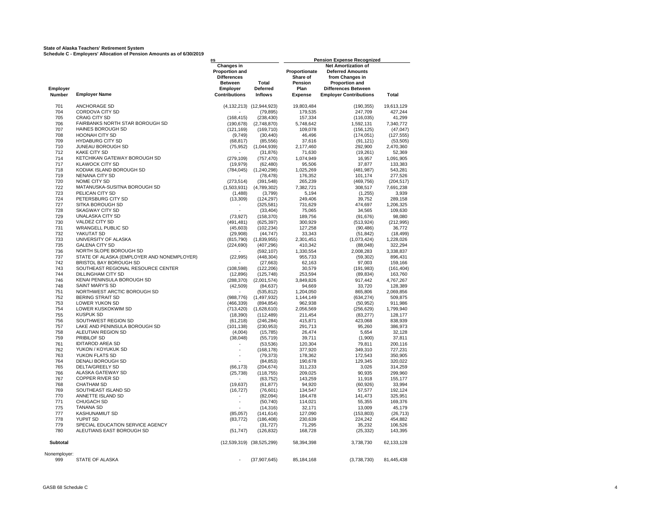|                     |                                               | es                                                                                      |                               |                                              | <b>Pension Expense Recognized</b>                                                                                        |                    |  |  |  |
|---------------------|-----------------------------------------------|-----------------------------------------------------------------------------------------|-------------------------------|----------------------------------------------|--------------------------------------------------------------------------------------------------------------------------|--------------------|--|--|--|
| Employer            |                                               | Changes in<br><b>Proportion and</b><br><b>Differences</b><br><b>Between</b><br>Employer | Total<br><b>Deferred</b>      | Proportionate<br>Share of<br>Pension<br>Plan | Net Amortization of<br><b>Deferred Amounts</b><br>from Changes in<br><b>Proportion and</b><br><b>Differences Between</b> |                    |  |  |  |
| Number              | <b>Employer Name</b>                          | <b>Contributions</b>                                                                    | <b>Inflows</b>                | <b>Expense</b>                               | <b>Employer Contributions</b>                                                                                            | Total              |  |  |  |
| 701                 | <b>ANCHORAGE SD</b>                           |                                                                                         | (4,132,213) (12,944,923)      | 19,803,484                                   | (190, 355)                                                                                                               | 19,613,129         |  |  |  |
| 704                 | <b>CORDOVA CITY SD</b>                        |                                                                                         | (79, 895)                     | 179,535                                      | 247,709                                                                                                                  | 427,244            |  |  |  |
| 705                 | CRAIG CITY SD                                 | (168, 415)                                                                              | (238, 430)                    | 157,334                                      | (116, 035)                                                                                                               | 41,299             |  |  |  |
| 706                 | FAIRBANKS NORTH STAR BOROUGH SD               | (190, 678)                                                                              | (2,748,870)                   | 5,748,642                                    | 1,592,131                                                                                                                | 7,340,772          |  |  |  |
| 707                 | <b>HAINES BOROUGH SD</b>                      | (121, 169)                                                                              | (169, 710)                    | 109,078                                      | (156, 125)                                                                                                               | (47, 047)          |  |  |  |
| 708                 | HOONAH CITY SD                                | (9,749)                                                                                 | (30, 440)                     | 46,496                                       | (174, 051)                                                                                                               | (127, 555)         |  |  |  |
| 709                 | <b>HYDABURG CITY SD</b>                       | (68, 817)                                                                               | (85, 556)                     | 37,616                                       | (91, 121)                                                                                                                | (53, 505)          |  |  |  |
| 710                 | JUNEAU BOROUGH SD                             | (75, 952)                                                                               | (1,044,939)                   | 2,177,460                                    | 292,900                                                                                                                  | 2,470,360          |  |  |  |
| 712                 | <b>KAKE CITY SD</b>                           |                                                                                         | (31, 876)                     | 71,630                                       | (19,261)                                                                                                                 | 52,369             |  |  |  |
| 714                 | KETCHIKAN GATEWAY BOROUGH SD                  | (279, 109)                                                                              | (757, 470)                    | 1,074,949                                    | 16,957                                                                                                                   | 1,091,905          |  |  |  |
| 717                 | <b>KLAWOCK CITY SD</b>                        | (19, 979)                                                                               | (62, 480)                     | 95,506                                       | 37,877                                                                                                                   | 133,383            |  |  |  |
| 718                 | KODIAK ISLAND BOROUGH SD                      | (784, 045)                                                                              | (1,240,298)                   | 1,025,269                                    | (481, 987)                                                                                                               | 543,281            |  |  |  |
| 719                 | <b>NENANA CITY SD</b>                         |                                                                                         | (78, 478)                     | 176,352                                      | 101,174                                                                                                                  | 277,526            |  |  |  |
| 720                 | NOME CITY SD                                  | (273, 514)                                                                              | (391, 548)                    | 265,239                                      | (469, 756)                                                                                                               | (204, 517)         |  |  |  |
| 722                 | MATANUSKA-SUSITNA BOROUGH SD                  | (1,503,931)                                                                             | (4,789,302)                   | 7,382,721                                    | 308,517                                                                                                                  | 7,691,238          |  |  |  |
| 723                 | PELICAN CITY SD                               | (1,488)                                                                                 | (3,799)                       | 5,194                                        | (1, 255)                                                                                                                 | 3,939              |  |  |  |
| 724                 | PETERSBURG CITY SD                            | (13, 309)                                                                               | (124, 297)                    | 249,406                                      | 39,752                                                                                                                   | 289,158            |  |  |  |
| 727                 | SITKA BOROUGH SD                              |                                                                                         | (325, 581)                    | 731,629                                      | 474,697                                                                                                                  | 1,206,325          |  |  |  |
| 728                 | SKAGWAY CITY SD                               |                                                                                         | (33, 404)                     | 75,065                                       | 34,565                                                                                                                   | 109,630            |  |  |  |
| 729                 | UNALASKA CITY SD                              | (73, 927)                                                                               | (158, 370)                    | 189,756                                      | (91, 676)                                                                                                                | 98,080             |  |  |  |
| 730                 | <b>VALDEZ CITY SD</b>                         | (491, 481)                                                                              | (625, 397)                    | 300,929                                      | (513, 924)                                                                                                               | (212, 995)         |  |  |  |
| 731                 | <b>WRANGELL PUBLIC SD</b>                     | (45, 603)                                                                               | (102, 234)                    | 127,258                                      | (90, 486)                                                                                                                | 36,772             |  |  |  |
| 732                 | YAKUTAT SD                                    | (29,908)                                                                                | (44, 747)                     | 33,343                                       | (51, 842)                                                                                                                | (18, 499)          |  |  |  |
| 733<br>735          | UNIVERSITY OF ALASKA<br><b>GALENA CITY SD</b> | (815, 790)                                                                              | (1,839,955)                   | 2,301,451                                    | (1,073,424)                                                                                                              | 1,228,026          |  |  |  |
|                     | NORTH SLOPE BOROUGH SD                        | (224, 690)                                                                              | (407, 296)                    | 410,342                                      | (88, 048)                                                                                                                | 322,294            |  |  |  |
| 736<br>737          | STATE OF ALASKA (EMPLOYER AND NONEMPLOYER)    | (22, 995)                                                                               | (592, 107)                    | 1,330,554                                    | 2,008,283                                                                                                                | 3,338,837          |  |  |  |
| 742                 | BRISTOL BAY BOROUGH SD                        |                                                                                         | (448, 304)<br>(27, 663)       | 955,733<br>62,163                            | (59, 302)<br>97,003                                                                                                      | 896,431<br>159,166 |  |  |  |
| 743                 | SOUTHEAST REGIONAL RESOURCE CENTER            | (108, 598)                                                                              | (122, 206)                    | 30,579                                       | (191, 983)                                                                                                               | (161, 404)         |  |  |  |
| 744                 | <b>DILLINGHAM CITY SD</b>                     | (12, 896)                                                                               | (125, 748)                    | 253,594                                      | (89, 834)                                                                                                                | 163,760            |  |  |  |
| 746                 | KENAI PENINSULA BOROUGH SD                    | (288, 370)                                                                              | (2,001,574)                   | 3,849,826                                    | 917,442                                                                                                                  | 4,767,267          |  |  |  |
| 748                 | <b>SAINT MARY'S SD</b>                        | (42, 509)                                                                               | (84, 637)                     | 94,669                                       | 33,720                                                                                                                   | 128,389            |  |  |  |
| 751                 | NORTHWEST ARCTIC BOROUGH SD                   |                                                                                         | (535, 812)                    | 1,204,050                                    | 865,806                                                                                                                  | 2,069,856          |  |  |  |
| 752                 | <b>BERING STRAIT SD</b>                       | (988, 776)                                                                              | (1,497,932)                   | 1,144,149                                    | (634, 274)                                                                                                               | 509,875            |  |  |  |
| 753                 | LOWER YUKON SD                                | (466, 339)                                                                              | (894, 854)                    | 962,938                                      | (50, 952)                                                                                                                | 911,986            |  |  |  |
| 754                 | LOWER KUSKOKWIM SD                            | (713, 420)                                                                              | (1,628,610)                   | 2,056,569                                    | (256, 629)                                                                                                               | 1,799,940          |  |  |  |
| 755                 | <b>KUSPUK SD</b>                              | (18, 390)                                                                               | (112, 489)                    | 211,454                                      | (83, 277)                                                                                                                | 128,177            |  |  |  |
| 756                 | SOUTHWEST REGION SD                           | (61, 218)                                                                               | (246, 284)                    | 415,871                                      | 423,068                                                                                                                  | 838,939            |  |  |  |
| 757                 | LAKE AND PENINSULA BOROUGH SD                 | (101, 138)                                                                              | (230, 953)                    | 291,713                                      | 95,260                                                                                                                   | 386,973            |  |  |  |
| 758                 | ALEUTIAN REGION SD                            | (4,004)                                                                                 | (15, 785)                     | 26,474                                       | 5,654                                                                                                                    | 32,128             |  |  |  |
| 759                 | PRIBILOF SD                                   | (38, 048)                                                                               | (55, 719)                     | 39,711                                       | (1,900)                                                                                                                  | 37,811             |  |  |  |
| 761                 | <b>IDITAROD AREA SD</b>                       |                                                                                         | (53, 536)                     | 120,304                                      | 79,811                                                                                                                   | 200,116            |  |  |  |
| 762                 | YUKON / KOYUKUK SD                            |                                                                                         | (168, 178)                    | 377,920                                      | 349,310                                                                                                                  | 727,231            |  |  |  |
| 763                 | YUKON FLATS SD                                |                                                                                         | (79, 373)                     | 178,362                                      | 172,543                                                                                                                  | 350,905            |  |  |  |
| 764                 | DENALI BOROUGH SD                             |                                                                                         | (84, 853)                     | 190,678                                      | 129,345                                                                                                                  | 320,022            |  |  |  |
| 765                 | DELTA/GREELY SD                               | (66, 173)                                                                               | (204, 674)                    | 311,233                                      | 3,026                                                                                                                    | 314,259            |  |  |  |
| 766                 | ALASKA GATEWAY SD                             | (25, 738)                                                                               | (118, 755)                    | 209,025                                      | 90,935                                                                                                                   | 299,960            |  |  |  |
| 767                 | <b>COPPER RIVER SD</b>                        |                                                                                         | (63, 752)                     | 143,259                                      | 11,918                                                                                                                   | 155,177            |  |  |  |
| 768                 | <b>CHATHAM SD</b>                             | (19, 637)                                                                               | (61, 877)                     | 94,920                                       | (60, 926)                                                                                                                | 33,994             |  |  |  |
| 769                 | SOUTHEAST ISLAND SD                           | (16, 727)                                                                               | (76, 601)                     | 134,547                                      | 57,577                                                                                                                   | 192,124            |  |  |  |
| 770                 | ANNETTE ISLAND SD                             |                                                                                         | (82,094)                      | 184,478                                      | 141,473                                                                                                                  | 325,951            |  |  |  |
| 771                 | <b>CHUGACH SD</b>                             |                                                                                         | (50, 740)                     | 114,021                                      | 55,355                                                                                                                   | 169,376            |  |  |  |
| 775                 | <b>TANANA SD</b>                              |                                                                                         | (14, 316)                     | 32,171                                       | 13,009                                                                                                                   | 45,179             |  |  |  |
| 777                 | KASHUNAMIUT SD                                | (85,057)                                                                                | (141, 614)                    | 127,090                                      | (153, 803)                                                                                                               | (26, 713)          |  |  |  |
| 778                 | <b>YUPIIT SD</b>                              | (83, 772)                                                                               | (186, 408)                    | 230,639                                      | 224,242                                                                                                                  | 454,882            |  |  |  |
| 779                 | SPECIAL EDUCATION SERVICE AGENCY              |                                                                                         | (31, 727)                     | 71,295                                       | 35,232                                                                                                                   | 106,526            |  |  |  |
| 780                 | ALEUTIANS EAST BOROUGH SD                     | (51, 747)                                                                               | (126, 832)                    | 168,728                                      | (25, 332)                                                                                                                | 143,395            |  |  |  |
| Subtotal            |                                               |                                                                                         | $(12,539,319)$ $(38,525,299)$ | 58,394,398                                   | 3,738,730                                                                                                                | 62,133,128         |  |  |  |
| Nonemployer:<br>999 | <b>STATE OF ALASKA</b>                        |                                                                                         | (37, 907, 645)                | 85,184,168                                   | (3,738,730)                                                                                                              | 81,445,438         |  |  |  |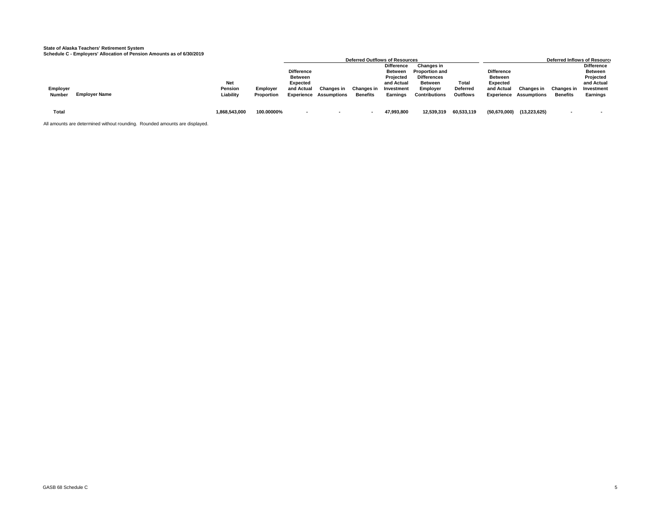|               |                      |               |            |                   |                               | Deferred Outflows of Resources |                   |                       |                 |                   |                               |                 | Deferred Inflows of Resource |
|---------------|----------------------|---------------|------------|-------------------|-------------------------------|--------------------------------|-------------------|-----------------------|-----------------|-------------------|-------------------------------|-----------------|------------------------------|
|               |                      |               |            |                   |                               |                                | <b>Difference</b> | <b>Changes in</b>     |                 |                   |                               |                 | <b>Difference</b>            |
|               |                      |               |            | <b>Difference</b> |                               |                                | <b>Between</b>    | <b>Proportion and</b> |                 | <b>Difference</b> |                               |                 | <b>Between</b>               |
|               |                      |               |            | Between           |                               |                                | Projected         | <b>Differences</b>    |                 | <b>Between</b>    |                               |                 | Projected                    |
|               |                      | <b>Net</b>    |            | Expected          |                               |                                | and Actual        | <b>Between</b>        | Total           | Expected          |                               |                 | and Actual                   |
| Employer      |                      | Pension       | Employer   | and Actual        | Changes in                    | Changes in                     | Investment        | Employer              | Deferred        | and Actual        | Changes in                    | Changes in      | Investment                   |
| <b>Number</b> | <b>Employer Name</b> | Liability     | Proportion |                   | <b>Experience Assumptions</b> | <b>Benefits</b>                | Earnings          | <b>Contributions</b>  | <b>Outflows</b> |                   | <b>Experience Assumptions</b> | <b>Benefits</b> | Earnings                     |
|               |                      |               |            |                   |                               |                                |                   |                       |                 |                   |                               |                 |                              |
|               |                      |               |            |                   |                               |                                |                   |                       |                 |                   |                               |                 |                              |
| Total         |                      | 1,868,543,000 | 100.00000% | $\sim$            | . .                           |                                | 47,993,800        | 12,539,319            | 60,533,119      | (50, 670, 000)    | (13, 223, 625)                |                 |                              |
|               |                      |               |            |                   |                               |                                |                   |                       |                 |                   |                               |                 |                              |

All amounts are determined without rounding. Rounded amounts are displayed.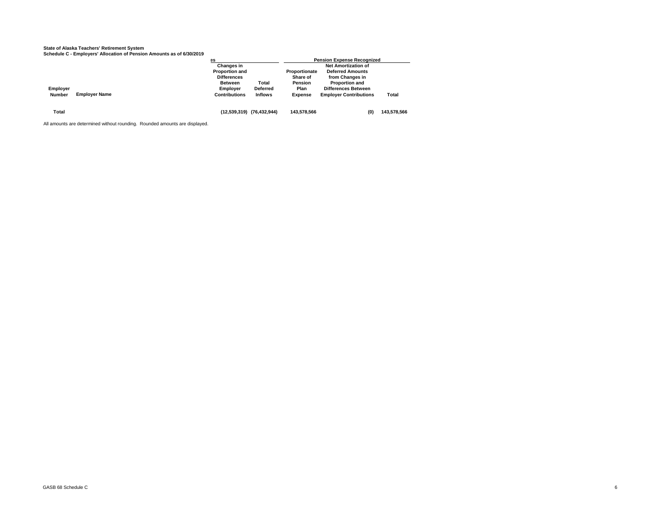|               |                      | <b>BS</b>             |                           |                | <b>Pension Expense Recognized</b> |             |
|---------------|----------------------|-----------------------|---------------------------|----------------|-----------------------------------|-------------|
|               |                      | <b>Changes in</b>     |                           |                | <b>Net Amortization of</b>        |             |
|               |                      | <b>Proportion and</b> |                           | Proportionate  | <b>Deferred Amounts</b>           |             |
|               |                      | <b>Differences</b>    |                           | Share of       | from Changes in                   |             |
|               |                      | <b>Between</b>        | Total                     | Pension        | <b>Proportion and</b>             |             |
| Employer      |                      | <b>Employer</b>       | <b>Deferred</b>           | Plan           | <b>Differences Between</b>        |             |
| <b>Number</b> | <b>Employer Name</b> | <b>Contributions</b>  | <b>Inflows</b>            | <b>Expense</b> | <b>Emplover Contributions</b>     | Total       |
| Total         |                      |                       | (12,539,319) (76,432,944) | 143,578,566    | (0)                               | 143,578,566 |
|               |                      |                       |                           |                |                                   |             |

All amounts are determined without rounding. Rounded amounts are displayed.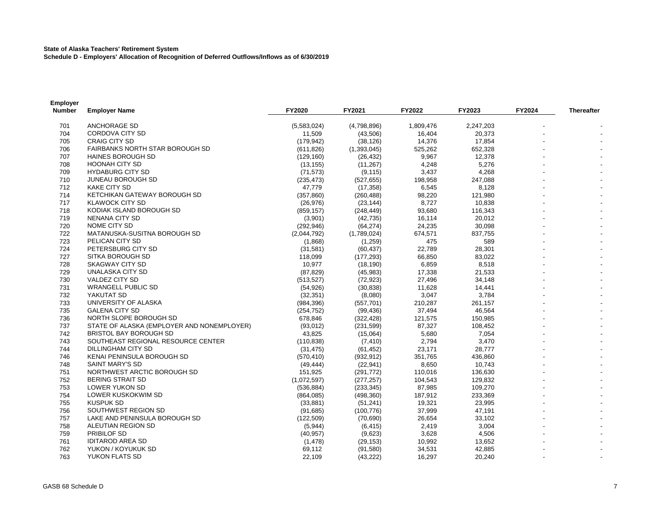#### **State of Alaska Teachers' Retirement System**

**Schedule D - Employers' Allocation of Recognition of Deferred Outflows/Inflows as of 6/30/2019**

| <b>Employer</b><br><b>Number</b> | <b>Employer Name</b>                       | FY2020      | FY2021      | FY2022    | FY2023    | FY2024 | <b>Thereafter</b> |
|----------------------------------|--------------------------------------------|-------------|-------------|-----------|-----------|--------|-------------------|
| 701                              | <b>ANCHORAGE SD</b>                        | (5,583,024) | (4,798,896) | 1,809,476 | 2,247,203 |        |                   |
| 704                              | CORDOVA CITY SD                            | 11,509      | (43,506)    | 16,404    | 20,373    |        |                   |
| 705                              | <b>CRAIG CITY SD</b>                       | (179, 942)  | (38, 126)   | 14,376    | 17,854    |        |                   |
| 706                              | <b>FAIRBANKS NORTH STAR BOROUGH SD</b>     | (611, 826)  | (1,393,045) | 525,262   | 652,328   |        |                   |
| 707                              | <b>HAINES BOROUGH SD</b>                   | (129, 160)  | (26, 432)   | 9,967     | 12,378    |        |                   |
| 708                              | <b>HOONAH CITY SD</b>                      | (13, 155)   | (11, 267)   | 4,248     | 5,276     |        |                   |
| 709                              | <b>HYDABURG CITY SD</b>                    | (71, 573)   | (9, 115)    | 3,437     | 4,268     |        |                   |
| 710                              | <b>JUNEAU BOROUGH SD</b>                   | (235, 473)  | (527, 655)  | 198,958   | 247,088   |        |                   |
| 712                              | <b>KAKE CITY SD</b>                        | 47,779      | (17, 358)   | 6,545     | 8,128     |        |                   |
| 714                              | KETCHIKAN GATEWAY BOROUGH SD               | (357, 860)  | (260, 488)  | 98,220    | 121,980   |        |                   |
| 717                              | <b>KLAWOCK CITY SD</b>                     | (26, 976)   | (23, 144)   | 8,727     | 10,838    |        |                   |
| 718                              | KODIAK ISLAND BOROUGH SD                   | (859, 157)  | (248, 449)  | 93,680    | 116,343   |        |                   |
| 719                              | <b>NENANA CITY SD</b>                      | (3,901)     | (42, 735)   | 16,114    | 20,012    |        |                   |
| 720                              | NOME CITY SD                               | (292, 946)  | (64, 274)   | 24,235    | 30,098    |        |                   |
| 722                              | MATANUSKA-SUSITNA BOROUGH SD               | (2,044,792) | (1,789,024) | 674,571   | 837,755   |        |                   |
| 723                              | PELICAN CITY SD                            | (1,868)     | (1,259)     | 475       | 589       |        |                   |
| 724                              | PETERSBURG CITY SD                         | (31, 581)   | (60, 437)   | 22,789    | 28,301    |        |                   |
| 727                              | SITKA BOROUGH SD                           | 118,099     | (177, 293)  | 66,850    | 83,022    |        |                   |
| 728                              | SKAGWAY CITY SD                            | 10,977      | (18, 190)   | 6,859     | 8,518     |        |                   |
| 729                              | UNALASKA CITY SD                           | (87, 829)   | (45,983)    | 17,338    | 21,533    |        |                   |
| 730                              | <b>VALDEZ CITY SD</b>                      | (513, 527)  | (72, 923)   | 27,496    | 34,148    |        |                   |
| 731                              | <b>WRANGELL PUBLIC SD</b>                  | (54, 926)   | (30, 838)   | 11,628    | 14,441    |        |                   |
| 732                              | YAKUTAT SD                                 | (32, 351)   | (8,080)     | 3,047     | 3,784     |        |                   |
| 733                              | UNIVERSITY OF ALASKA                       | (984, 396)  | (557, 701)  | 210,287   | 261,157   |        |                   |
| 735                              | <b>GALENA CITY SD</b>                      | (254, 752)  | (99, 436)   | 37,494    | 46,564    |        |                   |
| 736                              | NORTH SLOPE BOROUGH SD                     | 678,846     | (322, 428)  | 121,575   | 150,985   |        |                   |
| 737                              | STATE OF ALASKA (EMPLOYER AND NONEMPLOYER) | (93, 012)   | (231, 599)  | 87,327    | 108,452   |        |                   |
| 742                              | <b>BRISTOL BAY BOROUGH SD</b>              | 43,825      | (15,064)    | 5,680     | 7,054     |        |                   |
| 743                              | SOUTHEAST REGIONAL RESOURCE CENTER         | (110, 838)  | (7, 410)    | 2,794     | 3,470     |        |                   |
| 744                              | DILLINGHAM CITY SD                         | (31, 475)   | (61, 452)   | 23,171    | 28,777    |        |                   |
| 746                              | KENAI PENINSULA BOROUGH SD                 | (570, 410)  | (932, 912)  | 351,765   | 436,860   |        |                   |
| 748                              | <b>SAINT MARY'S SD</b>                     | (49, 444)   | (22, 941)   | 8,650     | 10,743    |        |                   |
| 751                              | NORTHWEST ARCTIC BOROUGH SD                | 151,925     | (291, 772)  | 110,016   | 136,630   |        |                   |
| 752                              | <b>BERING STRAIT SD</b>                    | (1,072,597) | (277, 257)  | 104,543   | 129,832   |        |                   |
| 753                              | LOWER YUKON SD                             | (536, 884)  | (233, 345)  | 87,985    | 109,270   |        |                   |
| 754                              | LOWER KUSKOKWIM SD                         | (864, 085)  | (498, 360)  | 187,912   | 233,369   |        |                   |
| 755                              | KUSPUK SD                                  | (33, 881)   | (51, 241)   | 19,321    | 23,995    |        |                   |
| 756                              | SOUTHWEST REGION SD                        | (91, 685)   | (100, 776)  | 37,999    | 47,191    |        |                   |
| 757                              | LAKE AND PENINSULA BOROUGH SD              | (122, 509)  | (70, 690)   | 26,654    | 33,102    |        |                   |
| 758                              | ALEUTIAN REGION SD                         | (5,944)     | (6, 415)    | 2,419     | 3,004     |        |                   |
| 759                              | PRIBILOF SD                                | (40, 957)   | (9,623)     | 3,628     | 4,506     |        |                   |
| 761                              | <b>IDITAROD AREA SD</b>                    | (1, 478)    | (29, 153)   | 10,992    | 13,652    |        |                   |
| 762                              | YUKON / KOYUKUK SD                         | 69,112      | (91, 580)   | 34,531    | 42,885    |        |                   |
| 763                              | YUKON FLATS SD                             | 22,109      | (43, 222)   | 16,297    | 20,240    |        |                   |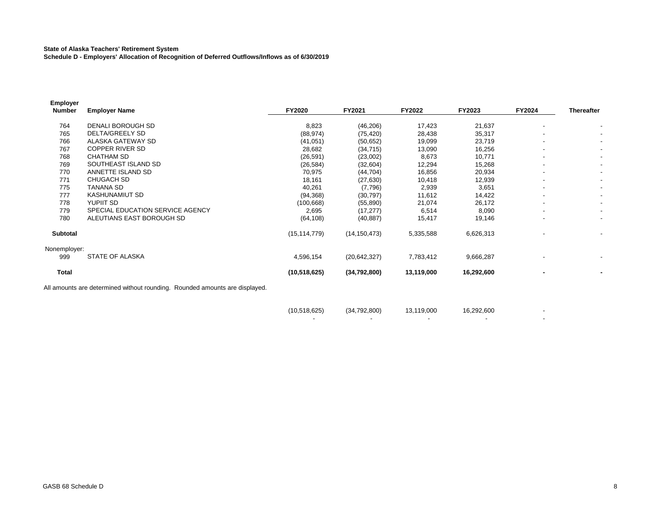#### **State of Alaska Teachers' Retirement System**

**Schedule D - Employers' Allocation of Recognition of Deferred Outflows/Inflows as of 6/30/2019**

| <b>Employer</b><br>Number | <b>Employer Name</b>                                                        | <b>FY2020</b>  | FY2021         | <b>FY2022</b> | FY2023     | FY2024                   | <b>Thereafter</b>        |
|---------------------------|-----------------------------------------------------------------------------|----------------|----------------|---------------|------------|--------------------------|--------------------------|
|                           |                                                                             |                |                |               |            |                          |                          |
| 764                       | DENALI BOROUGH SD                                                           | 8,823          | (46, 206)      | 17,423        | 21,637     | $\overline{\phantom{a}}$ |                          |
| 765                       | <b>DELTA/GREELY SD</b>                                                      | (88, 974)      | (75, 420)      | 28,438        | 35,317     |                          |                          |
| 766                       | ALASKA GATEWAY SD                                                           | (41, 051)      | (50, 652)      | 19,099        | 23,719     |                          |                          |
| 767                       | COPPER RIVER SD                                                             | 28,682         | (34, 715)      | 13,090        | 16,256     |                          |                          |
| 768                       | <b>CHATHAM SD</b>                                                           | (26, 591)      | (23,002)       | 8,673         | 10,771     |                          | $\overline{\phantom{a}}$ |
| 769                       | SOUTHEAST ISLAND SD                                                         | (26, 584)      | (32,604)       | 12,294        | 15,268     | ٠                        | $\overline{\phantom{a}}$ |
| 770                       | ANNETTE ISLAND SD                                                           | 70,975         | (44, 704)      | 16,856        | 20,934     |                          |                          |
| 771                       | <b>CHUGACH SD</b>                                                           | 18,161         | (27, 630)      | 10,418        | 12,939     | $\overline{\phantom{a}}$ | $\blacksquare$           |
| 775                       | TANANA SD                                                                   | 40,261         | (7,796)        | 2,939         | 3,651      |                          | $\overline{\phantom{a}}$ |
| 777                       | KASHUNAMIUT SD                                                              | (94, 368)      | (30, 797)      | 11,612        | 14,422     |                          |                          |
| 778                       | YUPIIT SD                                                                   | (100, 668)     | (55, 890)      | 21,074        | 26,172     |                          | $\overline{\phantom{a}}$ |
| 779                       | SPECIAL EDUCATION SERVICE AGENCY                                            | 2,695          | (17, 277)      | 6,514         | 8,090      | ۰                        |                          |
| 780                       | ALEUTIANS EAST BOROUGH SD                                                   | (64, 108)      | (40, 887)      | 15,417        | 19,146     |                          |                          |
| Subtotal                  |                                                                             | (15, 114, 779) | (14, 150, 473) | 5,335,588     | 6,626,313  |                          | $\overline{\phantom{a}}$ |
| Nonemployer:              |                                                                             |                |                |               |            |                          |                          |
| 999                       | STATE OF ALASKA                                                             | 4,596,154      | (20, 642, 327) | 7,783,412     | 9,666,287  |                          |                          |
| <b>Total</b>              |                                                                             | (10,518,625)   | (34,792,800)   | 13,119,000    | 16,292,600 |                          |                          |
|                           | All amounts are determined without rounding. Rounded amounts are displayed. |                |                |               |            |                          |                          |

| (10,518,625) | (34, 792, 800) | 13,119,000 | 16,292,600 |  |
|--------------|----------------|------------|------------|--|
|              |                |            |            |  |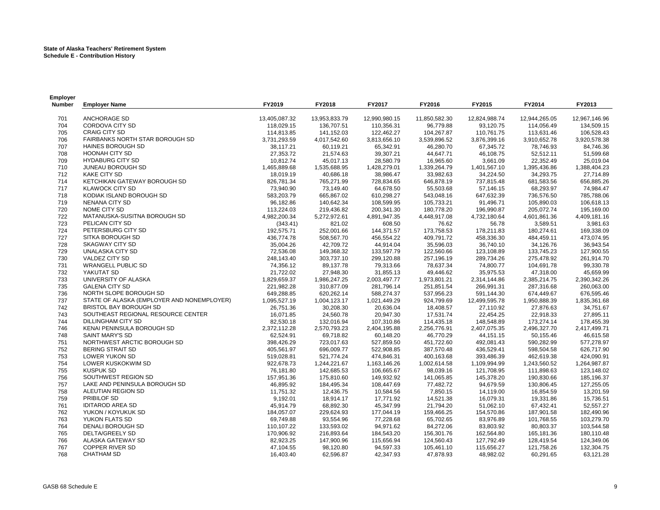| Employer      |                                                       |               |               |               |                          |               |               |                        |
|---------------|-------------------------------------------------------|---------------|---------------|---------------|--------------------------|---------------|---------------|------------------------|
| <b>Number</b> | <b>Employer Name</b>                                  | FY2019        | FY2018        | FY2017        | FY2016                   | FY2015        | FY2014        | FY2013                 |
| 701           | ANCHORAGE SD                                          | 13,405,087.32 | 13,953,833.79 | 12,990,980.15 | 11,850,582.30            | 12,824,988.74 | 12,944,265.05 | 12,967,146.96          |
| 704           | <b>CORDOVA CITY SD</b>                                | 118,029.15    | 136,707.51    | 110.356.31    | 96.779.88                | 93.120.75     | 114,056.49    | 134.509.15             |
| 705           | <b>CRAIG CITY SD</b>                                  | 114,813.85    | 141,152.03    | 122,462.27    | 104,267.87               | 110,761.75    | 113,631.46    | 106,528.43             |
| 706           | FAIRBANKS NORTH STAR BOROUGH SD                       | 3,731,293.59  | 4,017,542.60  | 3,813,656.10  | 3,539,896.52             | 3,876,399.16  | 3,910,652.78  | 3,920,578.38           |
| 707           | HAINES BOROUGH SD                                     | 38,117.21     | 60,119.21     | 65,342.91     | 46,280.70                | 67,345.72     | 78,746.93     | 84,746.36              |
| 708           | <b>HOONAH CITY SD</b>                                 | 27,353.72     | 21,574.63     | 39,307.21     | 44,647.71                | 46,108.75     | 52,512.11     | 51,599.68              |
| 709           | <b>HYDABURG CITY SD</b>                               | 10,812.74     | 45,017.13     | 28,580.79     | 16,965.60                | 3,661.09      | 22,352.49     | 25,019.04              |
| 710           | JUNEAU BOROUGH SD                                     | 1,465,889.68  | 1,535,688.95  | 1,428,279.01  | 1,339,264.79             | 1,401,567.10  | 1,395,436.86  | 1,388,404.23           |
| 712           | <b>KAKE CITY SD</b>                                   | 18,019.19     | 40,686.18     | 38,986.47     | 33,982.63                | 34,224.50     | 34,293.75     | 27,714.89              |
| 714           | KETCHIKAN GATEWAY BOROUGH SD                          | 826,781.34    | 765,271.99    | 728,834.65    | 646,878.19               | 737,815.48    | 681,583.56    | 656,885.26             |
| 717           | <b>KLAWOCK CITY SD</b>                                | 73,940.90     | 73,149.40     | 64,678.50     | 55,503.68                | 57,146.15     | 68,293.97     | 74,984.47              |
| 718           | KODIAK ISLAND BOROUGH SD                              | 583,203.79    | 665,867.02    | 610,298.27    | 543,048.16               | 647,632.39    | 736,576.50    | 785,788.06             |
| 719           | <b>NENANA CITY SD</b>                                 | 96,182.86     | 140,642.34    | 108,599.95    | 105,733.21               | 91,496.71     | 105,890.03    | 106,618.13             |
| 720           | NOME CITY SD                                          | 113,224.03    | 219,436.82    | 200,341.30    | 180,778.20               | 196,990.87    | 205,072.74    | 195,169.00             |
| 722           | MATANUSKA-SUSITNA BOROUGH SD                          | 4,982,200.34  | 5,272,972.61  | 4,891,947.35  | 4,448,917.08             | 4,732,180.64  | 4,601,861.36  | 4,409,181.16           |
| 723           | PELICAN CITY SD                                       | (343.41)      | 821.02        | 608.50        | 76.62                    | 56.78         | 3,589.51      | 3,981.63               |
| 724           | PETERSBURG CITY SD                                    | 192,575.71    | 252,001.66    | 144,371.57    | 173,758.53               | 178,211.83    | 180,274.61    | 169,338.09             |
| 727           | SITKA BOROUGH SD                                      | 436,774.78    | 508,567.70    | 456,554.22    | 409,791.72               | 458,336.30    | 484,459.11    | 473,074.95             |
| 728           | <b>SKAGWAY CITY SD</b>                                | 35,004.26     | 42,709.72     | 44,914.04     | 35,596.03                | 36,740.10     | 34,126.76     | 36,943.54              |
| 729           | UNALASKA CITY SD                                      | 72,536.08     | 149,368.32    | 133,597.79    | 122,560.66               | 123,108.89    | 133,745.23    | 127,900.55             |
| 730           | VALDEZ CITY SD                                        | 248,143.40    | 303,737.10    | 299,120.88    | 257,196.19               | 289,734.26    | 275,478.92    | 261,914.70             |
| 731           | <b>WRANGELL PUBLIC SD</b>                             | 74,356.12     | 89,137.78     | 79,313.66     | 78,637.34                | 74,800.77     | 104,691.78    | 99,330.78              |
| 732           | YAKUTAT SD                                            | 21,722.02     | 27,948.30     | 31,855.13     | 49,446.62                | 35,975.53     | 47,318.00     | 45,659.99              |
| 733           | UNIVERSITY OF ALASKA                                  | 1,829,659.37  | 1,986,247.25  | 2,003,497.77  | 1,973,801.21             | 2,314,144.86  | 2,385,214.75  | 2,390,342.26           |
| 735           | <b>GALENA CITY SD</b>                                 | 221,982.28    | 310,877.09    | 281,796.14    | 251,851.54               | 266,991.31    | 287,316.68    | 260,063.00             |
| 736           | NORTH SLOPE BOROUGH SD                                |               |               |               |                          |               |               | 676,595.46             |
| 737           | STATE OF ALASKA (EMPLOYER AND NONEMPLOYER)            | 649,288.85    | 620,262.14    | 588,274.37    | 537,956.23<br>924,799.69 | 591,144.30    | 674,449.67    | 1,835,361.68           |
|               | <b>BRISTOL BAY BOROUGH SD</b>                         | 1,095,527.19  | 1,004,123.17  | 1,021,449.29  |                          | 12,499,595.78 | 1,950,888.39  |                        |
| 742<br>743    | SOUTHEAST REGIONAL RESOURCE CENTER                    | 26,751.36     | 30,208.30     | 20.636.04     | 18.408.57                | 27,110.92     | 27,876.63     | 34.751.67<br>27,895.11 |
| 744           | <b>DILLINGHAM CITY SD</b>                             | 16,071.85     | 24,560.78     | 20,947.30     | 17,531.74                | 22,454.25     | 22,918.33     |                        |
|               |                                                       | 82,530.18     | 132,016.94    | 107,310.86    | 114,435.18               | 148,548.89    | 173,274.14    | 178,455.39             |
| 746           | KENAI PENINSULA BOROUGH SD                            | 2,372,112.28  | 2,570,793.23  | 2,404,195.88  | 2,256,776.91             | 2,407,075.35  | 2,496,327.70  | 2,417,499.71           |
| 748           | <b>SAINT MARY'S SD</b><br>NORTHWEST ARCTIC BOROUGH SD | 62,524.91     | 69,718.82     | 60,148.20     | 46,770.29                | 44,151.15     | 50,155.46     | 46,615.58              |
| 751           | <b>BERING STRAIT SD</b>                               | 398,426.29    | 723,017.63    | 527,859.50    | 451,722.60               | 492,081.43    | 590,282.99    | 577,278.97             |
| 752           |                                                       | 405,561.97    | 696,009.77    | 522,908.85    | 387,570.48               | 436,529.41    | 598,504.58    | 626,717.90             |
| 753           | LOWER YUKON SD                                        | 519,028.81    | 521,774.24    | 474,846.31    | 400,163.68               | 393,486.39    | 462,619.38    | 424,090.91             |
| 754           | LOWER KUSKOKWIM SD                                    | 922,678.73    | 1,244,221.67  | 1,163,146.26  | 1,002,614.58             | 1,109,994.99  | 1,243,560.52  | 1,264,987.87           |
| 755           | <b>KUSPUK SD</b>                                      | 76,181.80     | 142,685.53    | 106,665.67    | 98,039.16                | 121,708.95    | 111,898.63    | 123,148.02             |
| 756           | SOUTHWEST REGION SD                                   | 157,951.36    | 175,810.60    | 149,932.92    | 141,065.85               | 145,378.20    | 190,830.66    | 185,196.37             |
| 757           | LAKE AND PENINSULA BOROUGH SD                         | 46,895.92     | 184,495.34    | 108,447.69    | 77,482.72                | 94,679.59     | 130,806.45    | 127,255.05             |
| 758           | ALEUTIAN REGION SD                                    | 11,751.32     | 12,436.75     | 10,584.56     | 7,850.15                 | 14,119.00     | 16,854.59     | 13,201.59              |
| 759           | PRIBILOF SD                                           | 9,192.01      | 18,914.17     | 17,771.92     | 14,521.38                | 16,079.31     | 19,331.86     | 15,736.51              |
| 761           | <b>IDITAROD AREA SD</b>                               | 45,914.79     | 68,892.30     | 45,347.99     | 21,794.20                | 51,062.10     | 67,432.41     | 52,557.27              |
| 762           | YUKON / KOYUKUK SD                                    | 184,057.07    | 229,624.93    | 177,044.19    | 159,466.25               | 154,570.86    | 187,901.58    | 182,490.96             |
| 763           | YUKON FLATS SD                                        | 69,749.88     | 93,554.96     | 77,228.68     | 65,702.65                | 83,976.89     | 101,768.55    | 103,279.70             |
| 764           | DENALI BOROUGH SD                                     | 110,107.22    | 133,593.02    | 94,971.62     | 84,272.06                | 83,803.92     | 80,803.37     | 103,544.58             |
| 765           | <b>DELTA/GREELY SD</b>                                | 170,906.92    | 216,893.64    | 184,543.20    | 156,301.76               | 162,564.80    | 165,181.36    | 180,110.48             |
| 766           | ALASKA GATEWAY SD                                     | 82,923.25     | 147,900.96    | 115,656.94    | 124,560.43               | 127,792.49    | 128,419.54    | 124,349.06             |
| 767           | <b>COPPER RIVER SD</b>                                | 47,104.55     | 98,120.80     | 94,597.33     | 105,461.10               | 115,656.27    | 121,758.26    | 132,304.75             |
| 768           | <b>CHATHAM SD</b>                                     | 16,403.40     | 62,596.87     | 42,347.93     | 47,878.93                | 48,982.02     | 60,291.65     | 63,121.28              |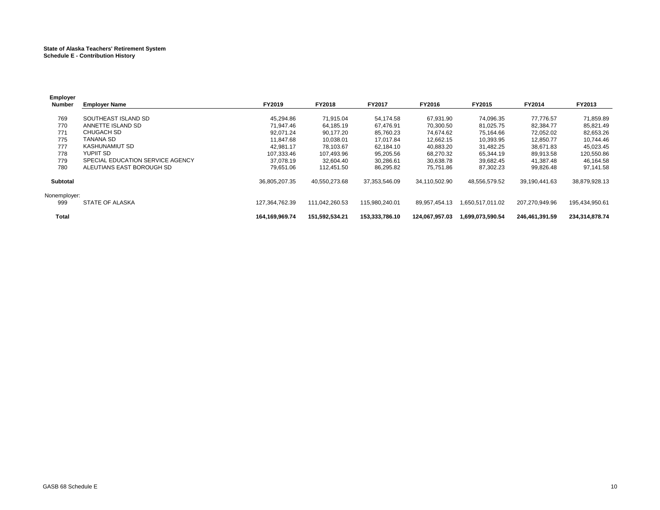#### **State of Alaska Teachers' Retirement System Schedule E - Contribution History**

| Employer        |                                  |                |                |                |                |                  |                |                |
|-----------------|----------------------------------|----------------|----------------|----------------|----------------|------------------|----------------|----------------|
| Number          | <b>Employer Name</b>             | <b>FY2019</b>  | <b>FY2018</b>  | FY2017         | FY2016         | FY2015           | FY2014         | FY2013         |
|                 |                                  |                |                |                |                |                  |                |                |
| 769             | SOUTHEAST ISLAND SD              | 45.294.86      | 71,915.04      | 54,174.58      | 67,931.90      | 74,096.35        | 77,776.57      | 71,859.89      |
| 770             | ANNETTE ISLAND SD                | 71.947.46      | 64,185.19      | 67.476.91      | 70,300.50      | 81,025.75        | 82,384.77      | 85,821.49      |
| 771             | CHUGACH SD                       | 92.071.24      | 90,177.20      | 85,760.23      | 74,674.62      | 75,164.66        | 72,052.02      | 82,653.26      |
| 775             | TANANA SD                        | 11.847.68      | 10,038.01      | 17.017.84      | 12,662.15      | 10,393.95        | 12,850.77      | 10,744.46      |
| 777             | <b>KASHUNAMIUT SD</b>            | 42.981.17      | 78,103.67      | 62,184.10      | 40,883.20      | 31,482.25        | 38,671.83      | 45,023.45      |
| 778             | YUPIIT SD                        | 107.333.46     | 107,493.96     | 95,205.56      | 68,270.32      | 65,344.19        | 89,913.58      | 120,550.86     |
| 779             | SPECIAL EDUCATION SERVICE AGENCY | 37.078.19      | 32.604.40      | 30,286.61      | 30.638.78      | 39,682.45        | 41.387.48      | 46,164.58      |
| 780             | ALEUTIANS EAST BOROUGH SD        | 79.651.06      | 112.451.50     | 86,295.82      | 75.751.86      | 87,302.23        | 99,826.48      | 97,141.58      |
| <b>Subtotal</b> |                                  | 36,805,207.35  | 40,550,273.68  | 37,353,546.09  | 34,110,502.90  | 48,556,579.52    | 39,190,441.63  | 38,879,928.13  |
| Nonemployer:    |                                  |                |                |                |                |                  |                |                |
| 999             | STATE OF ALASKA                  | 127.364.762.39 | 111.042.260.53 | 115.980.240.01 | 89.957.454.13  | 1.650.517.011.02 | 207.270.949.96 | 195,434,950.61 |
| <b>Total</b>    |                                  | 164.169.969.74 | 151,592,534.21 | 153.333.786.10 | 124.067.957.03 | 1.699.073.590.54 | 246.461.391.59 | 234,314,878.74 |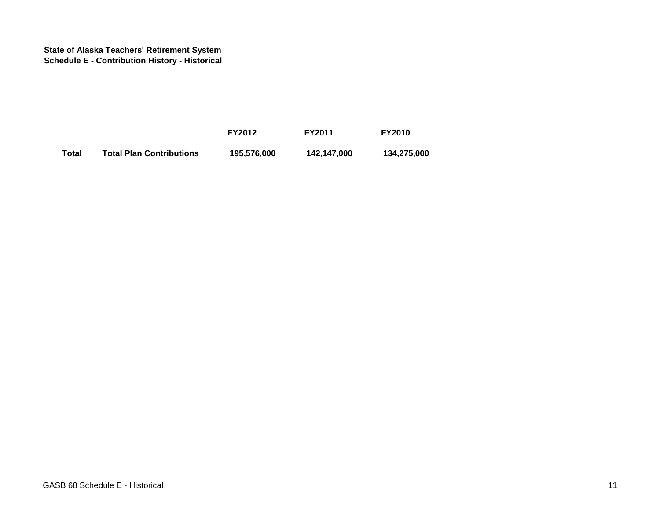#### **State of Alaska Teachers' Retirement System Schedule E - Contribution History - Historical**

|       |                                 | <b>FY2012</b> | <b>FY2011</b> | <b>FY2010</b> |
|-------|---------------------------------|---------------|---------------|---------------|
| Total | <b>Total Plan Contributions</b> | 195,576,000   | 142,147,000   | 134,275,000   |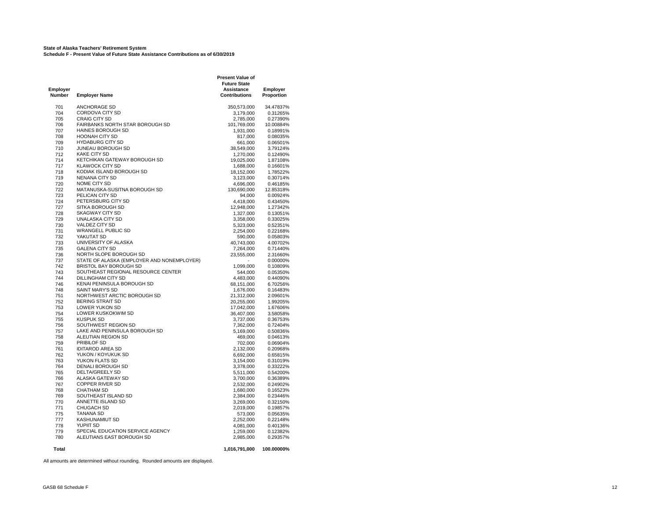#### **State of Alaska Teachers' Retirement System Schedule F - Present Value of Future State Assistance Contributions as of 6/30/2019**

**Present Value of Future State Employer Assistance Employer Number Employer Name Contributions Proportion** 701 ANCHORAGE SD 350,573,000 34.47837% 704 CORDOVA CITY SD 3,179,000 0.31265%<br>705 CRAIG CITY SD 2.785,000 0.27390% CRAIG CITY SD<br>
FAIRBANKS NORTH STAR BOROUGH SD<br>
101,769,000 10.00884% 706 FAIRBANKS NORTH STAR BOROUGH SD 101,769,000 10.00884% 1,931,000 0.18991%<br>1,931,000 0.08035%<br>17.000 0.08035% 10.08035% 708 HOONAH CITY SD 817,000 0.08035% 709 HYDABURG CITY SD 661,000 0.06501% 710 JUNEAU BOROUGH SD 712 KAKE CITY SD<br>714 KETCHIKAN GATEWAY BOROUGH SD 19.025.000 1.87108% KETCHIKAN GATEWAY BOROUGH SD 717 KLAWOCK CITY SD 1,688,000 0.16601% 1.78522% KODIAK ISLAND BOROUGH SD 18,152,000 1.78522% 1.78522% 1.78522% 1.78522% 719 NENANA CITY SD 3,123,000 0.30714%<br>720 NOME CITY SD 3,123,000 0.46185% NOME CITY SD 722 MATANUSKA-SUSITNA BOROUGH SD 130,690,000 12.85318% PELICAN CITY SD 94,000 0.00924%<br>PETERSBURG CITY SD 4.418,000 0.43450% 724 PETERSBURG CITY SD 4,418,000 0.43450% 12,948,000 1.27342%<br>12,948,000 1.27342%<br>228 SKAGWAY CITY SD 1.327,000 1.13051% 728 SKAGWAY CITY SD 1,327,000 0.13051% 729 UNALASKA CITY SD 3,358,000 0.33025% 730 VALDEZ CITY SD 5,323,000 0.52351% 731 WRANGELL PUBLIC SD 2,254,000 0.22168% 732 YAKUTAT SD 590,000 0.05803% 733 UNIVERSITY OF ALASKA 40,743,000 4.00702%<br>135 GALENA CITY SD 40,743,000 57.264,000 6.71440% 735 GALENA CITY SD 7,264,000 0.71440% 736 NORTH SLOPE BOROUGH SD<br>737 STATE OF ALASKA (EMPLOYE) 737 STATE OF ALASKA (EMPLOYER AND NONEMPLOYER)<br>742 BRISTOL BAY BOROUGH SD  $- 0.00000\%$ <br> $- 0.10809\%$ 742 BRISTOL BAY BOROUGH SD<br>1,099,000 0.10809% 743 SOUTHEAST REGIONAL RESOURCE CENTER<br>1,009 0.05350% 644,000 0.05350% 743 SOUTHEAST REGIONAL RESOURCE CENTER 544,000 0.05350% 744 DILLINGHAM CITY SD 4,483,000 0.44090% KENAI PENINSULA BOROUGH SD 748 SAINT MARY'S SD 1,676,000 0.16483% 1990 NORTHWEST ARCTIC BOROUGH SD 21,312,000 2.09601%<br>RERING STRAIT SD 20 255,000 2.0975% 752 BERING STRAIT SD 20,255,000 1.99205% LOWER YUKON SD 754 LOWER KUSKOKWIM SD 36,407,000 3.58058%  $3,737,000$   $3,737,000$   $3,737,000$   $3,7362,000$   $3,7362,000$   $3,72404\%$ 756 SOUTHWEST REGION SD<br>757 LAKE AND PENINSULA BOROUGH SD 5,169,000 0.72404% 757 LAKE AND PENINSULA BOROUGH SD 5,169,000 0.50836% 758 ALEUTIAN REGION SD 469,000 0.04613% 759 PRIBILOF SD 702,000 0.06904% 761 IDITAROD AREA SD 762 YUKON / KOYUKUK SD 6,692,000 0.65815% YUKON FLATS SD 764 DENALI BOROUGH SD 3,378,000 0.33222% DELTA/GREELY SD 766 ALASKA GATEWAY SD 3,700,000 0.36389% COPPER RIVER SD<br>CHATHAM SD 768 CHATHAM SD 1,680,000 0.16523% SOUTHEAST ISLAND SD 770 ANNETTE ISLAND SD<br>771 CHUGACH SD 3000 0.32150% 2.019.000 0.19857% 771 CHUGACH SD 2,019,000 0.19857% 775 TANANA SD 573,000 0.05635% 777 KASHUNAMIUT SD 2,252,000 0.22148% 778 YUPIIT SD 4,081,000 0.40136% % Triangle Special Education Service Agency<br>1990 - ALEUTIANS EAST BOROUGH SD 1999 - 1,259,000 0.29357% 780 ALEUTIANS EAST BOROUGH SD **Total 1,016,791,000 100.00000%**

All amounts are determined without rounding. Rounded amounts are displayed.